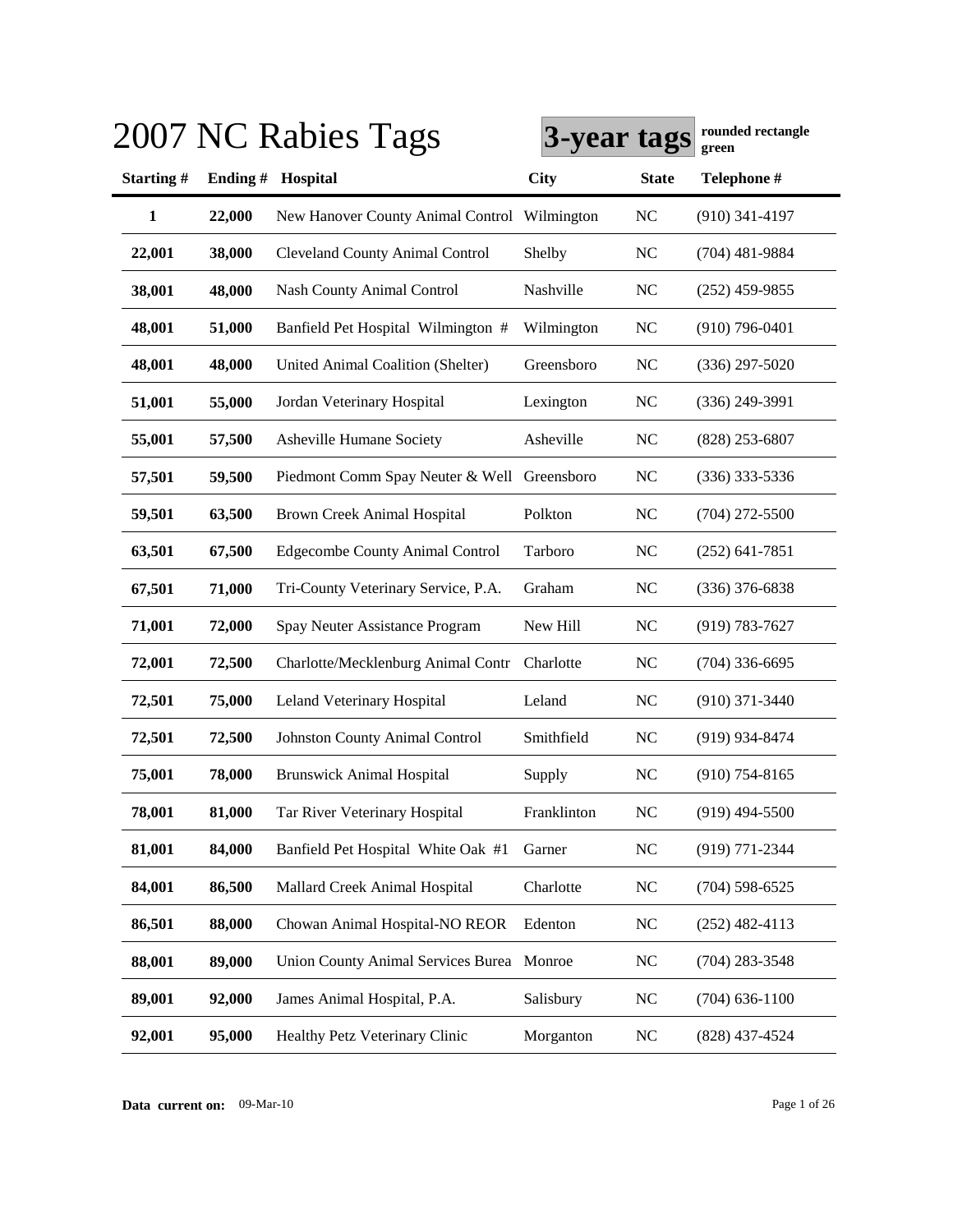|              |         | 2007 NC Rabies Tags                          | 3-year tags |                | rounaea rectangie<br>green |
|--------------|---------|----------------------------------------------|-------------|----------------|----------------------------|
| Starting#    | Ending# | Hospital                                     | <b>City</b> | <b>State</b>   | Telephone #                |
| $\mathbf{1}$ | 22,000  | New Hanover County Animal Control Wilmington |             | NC             | $(910)$ 341-4197           |
| 22,001       | 38,000  | <b>Cleveland County Animal Control</b>       | Shelby      | NC             | $(704)$ 481-9884           |
| 38,001       | 48,000  | <b>Nash County Animal Control</b>            | Nashville   | <b>NC</b>      | $(252)$ 459-9855           |
| 48,001       | 51,000  | Banfield Pet Hospital Wilmington #           | Wilmington  | NC             | $(910)$ 796-0401           |
| 48,001       | 48,000  | United Animal Coalition (Shelter)            | Greensboro  | NC             | $(336)$ 297-5020           |
| 51,001       | 55,000  | Jordan Veterinary Hospital                   | Lexington   | NC             | $(336)$ 249-3991           |
| 55,001       | 57,500  | Asheville Humane Society                     | Asheville   | N <sub>C</sub> | $(828)$ 253-6807           |
| 57,501       | 59,500  | Piedmont Comm Spay Neuter & Well Greensboro  |             | NC             | $(336)$ 333-5336           |
| 59,501       | 63,500  | <b>Brown Creek Animal Hospital</b>           | Polkton     | NC             | $(704)$ 272-5500           |
| 63,501       | 67,500  | <b>Edgecombe County Animal Control</b>       | Tarboro     | NC             | $(252)$ 641-7851           |
| 67,501       | 71,000  | Tri-County Veterinary Service, P.A.          | Graham      | NC             | $(336)$ 376-6838           |
| 71,001       | 72,000  | Spay Neuter Assistance Program               | New Hill    | NC             | $(919) 783 - 7627$         |
| 72,001       | 72,500  | Charlotte/Mecklenburg Animal Contr           | Charlotte   | NC             | $(704)$ 336-6695           |
| 72,501       | 75,000  | Leland Veterinary Hospital                   | Leland      | NC             | $(910)$ 371-3440           |
| 72,501       | 72,500  | Johnston County Animal Control               | Smithfield  | <b>NC</b>      | (919) 934-8474             |
| 75,001       | 78,000  | <b>Brunswick Animal Hospital</b>             | Supply      | NC             | $(910)$ 754-8165           |
| 78,001       | 81,000  | Tar River Veterinary Hospital                | Franklinton | NC             | $(919)$ 494-5500           |
| 81,001       | 84,000  | Banfield Pet Hospital White Oak #1           | Garner      | <b>NC</b>      | (919) 771-2344             |
| 84,001       | 86,500  | Mallard Creek Animal Hospital                | Charlotte   | $\rm NC$       | $(704)$ 598-6525           |
| 86,501       | 88,000  | Chowan Animal Hospital-NO REOR               | Edenton     | NC             | $(252)$ 482-4113           |
| 88,001       | 89,000  | Union County Animal Services Burea Monroe    |             | $\rm NC$       | $(704)$ 283-3548           |
| 89,001       | 92,000  | James Animal Hospital, P.A.                  | Salisbury   | <b>NC</b>      | $(704)$ 636-1100           |
| 92,001       | 95,000  | Healthy Petz Veterinary Clinic               | Morganton   | $\rm NC$       | $(828)$ 437-4524           |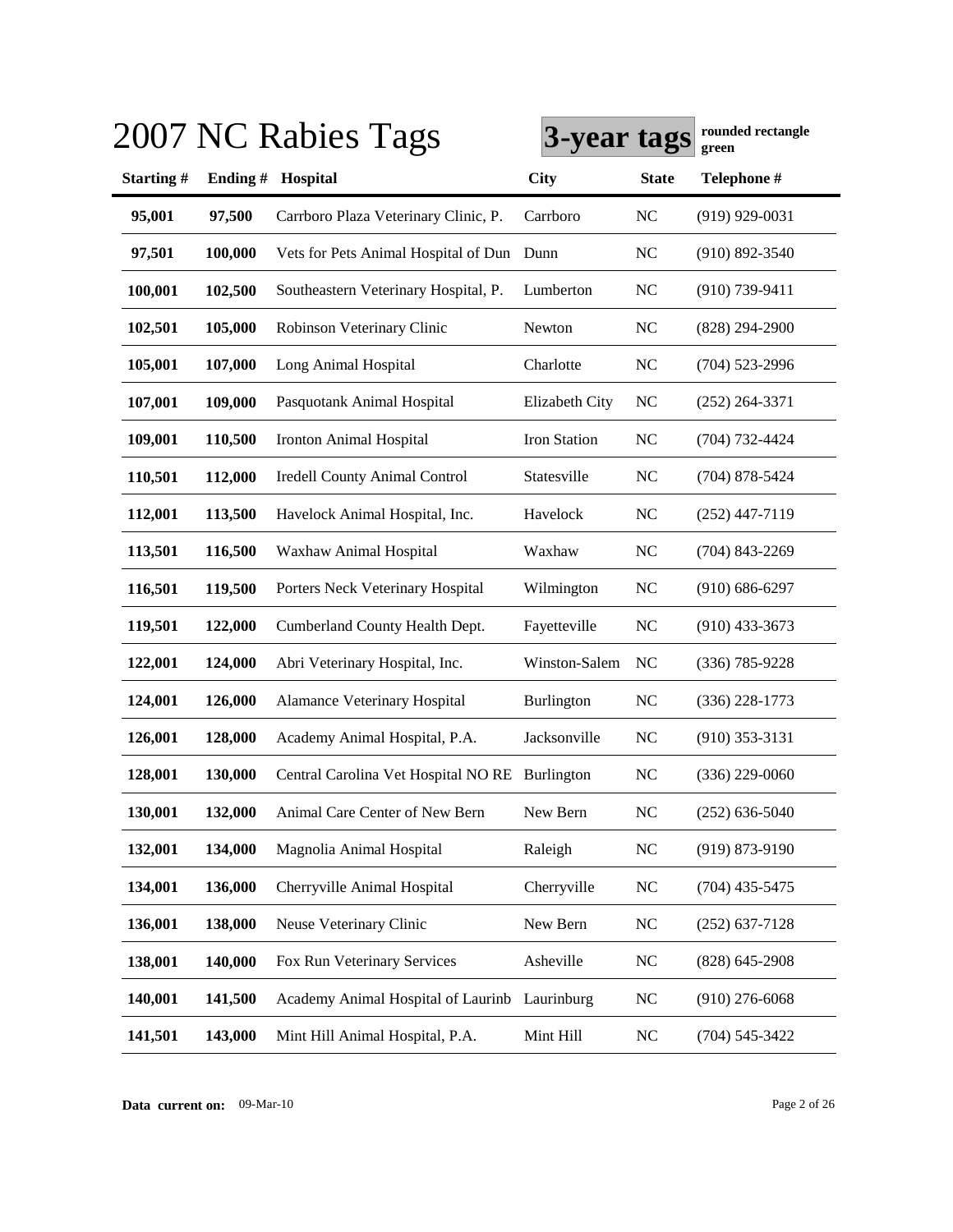|           |         | 2007 NC Rabies Tags                            | 3-year tags       |                | rounded rectangle<br>green |
|-----------|---------|------------------------------------------------|-------------------|----------------|----------------------------|
| Starting# | Ending# | Hospital                                       | <b>City</b>       | <b>State</b>   | Telephone #                |
| 95,001    | 97,500  | Carrboro Plaza Veterinary Clinic, P.           | Carrboro          | <b>NC</b>      | $(919)$ 929-0031           |
| 97,501    | 100,000 | Vets for Pets Animal Hospital of Dun Dunn      |                   | <b>NC</b>      | $(910) 892 - 3540$         |
| 100,001   | 102,500 | Southeastern Veterinary Hospital, P.           | Lumberton         | <b>NC</b>      | $(910)$ 739-9411           |
| 102,501   | 105,000 | Robinson Veterinary Clinic                     | Newton            | <b>NC</b>      | $(828)$ 294-2900           |
| 105,001   | 107,000 | Long Animal Hospital                           | Charlotte         | <b>NC</b>      | $(704)$ 523-2996           |
| 107,001   | 109,000 | Pasquotank Animal Hospital                     | Elizabeth City    | NC             | $(252)$ 264-3371           |
| 109,001   | 110,500 | Ironton Animal Hospital                        | Iron Station      | <b>NC</b>      | $(704) 732 - 4424$         |
| 110,501   | 112,000 | <b>Iredell County Animal Control</b>           | Statesville       | <b>NC</b>      | $(704)$ 878-5424           |
| 112,001   | 113,500 | Havelock Animal Hospital, Inc.                 | Havelock          | <b>NC</b>      | $(252)$ 447-7119           |
| 113,501   | 116,500 | Waxhaw Animal Hospital                         | Waxhaw            | N <sub>C</sub> | $(704)$ 843-2269           |
| 116,501   | 119,500 | Porters Neck Veterinary Hospital               | Wilmington        | NC             | $(910) 686 - 6297$         |
| 119,501   | 122,000 | Cumberland County Health Dept.                 | Fayetteville      | <b>NC</b>      | $(910)$ 433-3673           |
| 122,001   | 124,000 | Abri Veterinary Hospital, Inc.                 | Winston-Salem     | N <sub>C</sub> | (336) 785-9228             |
| 124,001   | 126,000 | Alamance Veterinary Hospital                   | <b>Burlington</b> | <b>NC</b>      | $(336)$ 228-1773           |
| 126,001   | 128,000 | Academy Animal Hospital, P.A.                  | Jacksonville      | <b>NC</b>      | $(910)$ 353-3131           |
| 128,001   | 130,000 | Central Carolina Vet Hospital NO RE Burlington |                   | <b>NC</b>      | $(336)$ 229-0060           |
| 130,001   | 132,000 | Animal Care Center of New Bern                 | New Bern          | <b>NC</b>      | $(252)$ 636-5040           |
| 132,001   | 134,000 | Magnolia Animal Hospital                       | Raleigh           | <b>NC</b>      | $(919) 873 - 9190$         |
| 134,001   | 136,000 | Cherryville Animal Hospital                    | Cherryville       | <b>NC</b>      | $(704)$ 435-5475           |
| 136,001   | 138,000 | Neuse Veterinary Clinic                        | New Bern          | <b>NC</b>      | $(252)$ 637-7128           |
| 138,001   | 140,000 | Fox Run Veterinary Services                    | Asheville         | <b>NC</b>      | $(828)$ 645-2908           |
| 140,001   | 141,500 | Academy Animal Hospital of Laurinb             | Laurinburg        | <b>NC</b>      | $(910)$ 276-6068           |
| 141,501   | 143,000 | Mint Hill Animal Hospital, P.A.                | Mint Hill         | N <sub>C</sub> | $(704) 545 - 3422$         |

**Data current on:** 09-Mar-10 Page 2 of 26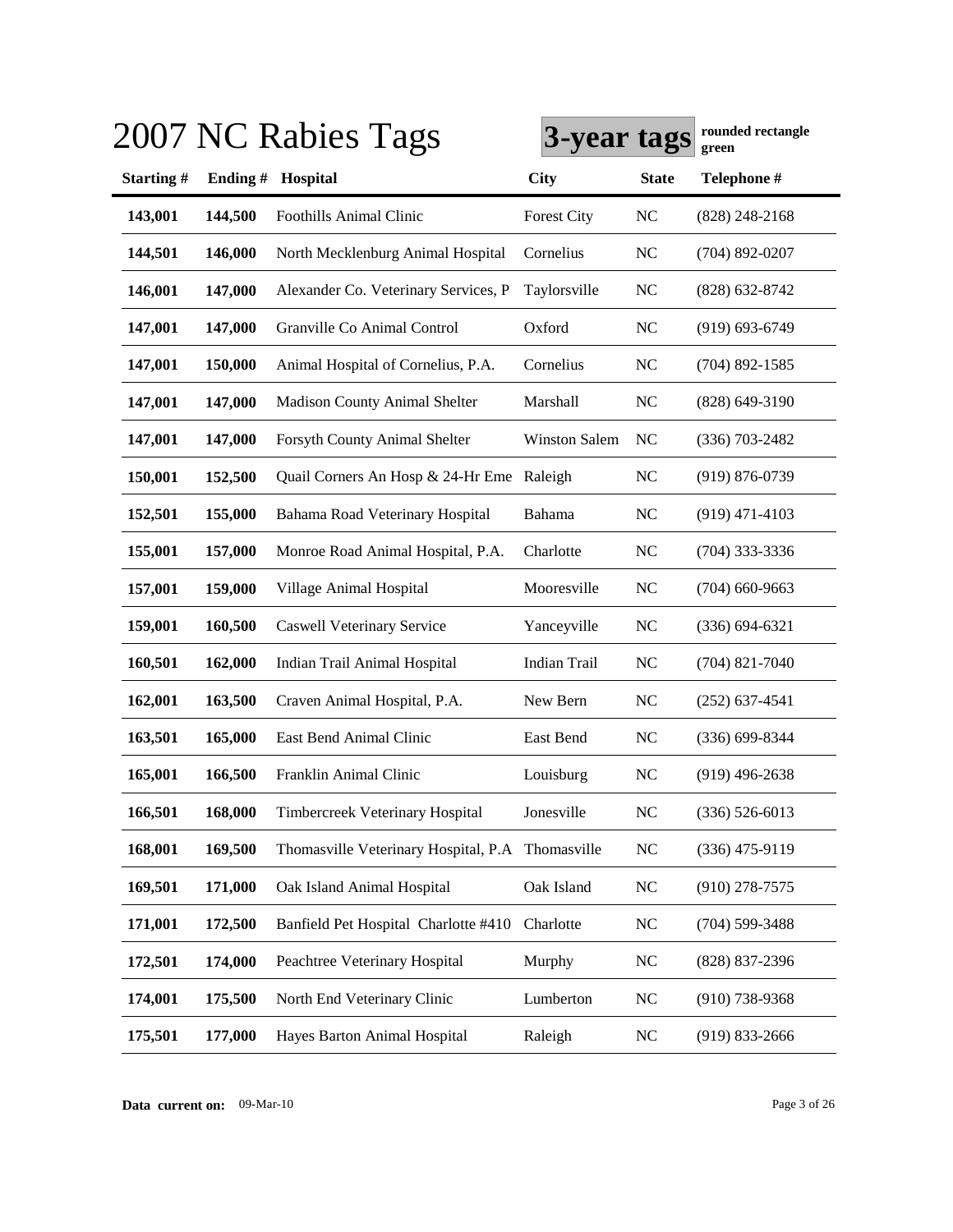|         |                                      |                                 |                                                                                               | rounded rectangle<br>green |
|---------|--------------------------------------|---------------------------------|-----------------------------------------------------------------------------------------------|----------------------------|
|         | Hospital                             | City                            | <b>State</b>                                                                                  | Telephone #                |
| 144,500 | Foothills Animal Clinic              | <b>Forest City</b>              | NC                                                                                            | $(828)$ 248-2168           |
| 146,000 | North Mecklenburg Animal Hospital    | Cornelius                       | NC                                                                                            | $(704)$ 892-0207           |
| 147,000 | Alexander Co. Veterinary Services, P | Taylorsville                    | NC                                                                                            | (828) 632-8742             |
| 147,000 | Granville Co Animal Control          | Oxford                          | NC                                                                                            | $(919) 693 - 6749$         |
| 150,000 | Animal Hospital of Cornelius, P.A.   | Cornelius                       | N <sub>C</sub>                                                                                | $(704)$ 892-1585           |
| 147,000 | <b>Madison County Animal Shelter</b> | Marshall                        | NC                                                                                            | (828) 649-3190             |
| 147,000 | Forsyth County Animal Shelter        | Winston Salem                   | NC                                                                                            | $(336)$ 703-2482           |
| 152,500 |                                      |                                 | N <sub>C</sub>                                                                                | $(919) 876 - 0739$         |
| 155,000 | Bahama Road Veterinary Hospital      | Bahama                          | N <sub>C</sub>                                                                                | $(919)$ 471-4103           |
| 157,000 | Monroe Road Animal Hospital, P.A.    | Charlotte                       | N <sub>C</sub>                                                                                | $(704)$ 333-3336           |
| 159,000 | Village Animal Hospital              | Mooresville                     | N <sub>C</sub>                                                                                | $(704)$ 660-9663           |
| 160,500 | <b>Caswell Veterinary Service</b>    | Yanceyville                     | <b>NC</b>                                                                                     | $(336) 694 - 6321$         |
| 162,000 | Indian Trail Animal Hospital         | <b>Indian Trail</b>             | N <sub>C</sub>                                                                                | $(704)$ 821-7040           |
| 163,500 | Craven Animal Hospital, P.A.         | New Bern                        | N <sub>C</sub>                                                                                | $(252)$ 637-4541           |
| 165,000 | East Bend Animal Clinic              | East Bend                       | N <sub>C</sub>                                                                                | $(336) 699 - 8344$         |
| 166,500 | Franklin Animal Clinic               | Louisburg                       | <b>NC</b>                                                                                     | $(919)$ 496-2638           |
| 168,000 | Timbercreek Veterinary Hospital      | Jonesville                      | <b>NC</b>                                                                                     | $(336) 526 - 6013$         |
| 169,500 |                                      |                                 | <b>NC</b>                                                                                     | $(336)$ 475-9119           |
| 171,000 | Oak Island Animal Hospital           | Oak Island                      | $NC$                                                                                          | $(910)$ 278-7575           |
| 172,500 | Banfield Pet Hospital Charlotte #410 | Charlotte                       | NC                                                                                            | $(704)$ 599-3488           |
| 174,000 | Peachtree Veterinary Hospital        | Murphy                          | <b>NC</b>                                                                                     | $(828)$ 837-2396           |
| 175,500 | North End Veterinary Clinic          | Lumberton                       | <b>NC</b>                                                                                     | $(910)$ 738-9368           |
| 177,000 | Hayes Barton Animal Hospital         | Raleigh                         | <b>NC</b>                                                                                     | $(919)$ 833-2666           |
|         |                                      | 2007 NC Rabies Tags<br>Ending # | Quail Corners An Hosp & 24-Hr Eme Raleigh<br>Thomasville Veterinary Hospital, P.A Thomasville | 3-year tags                |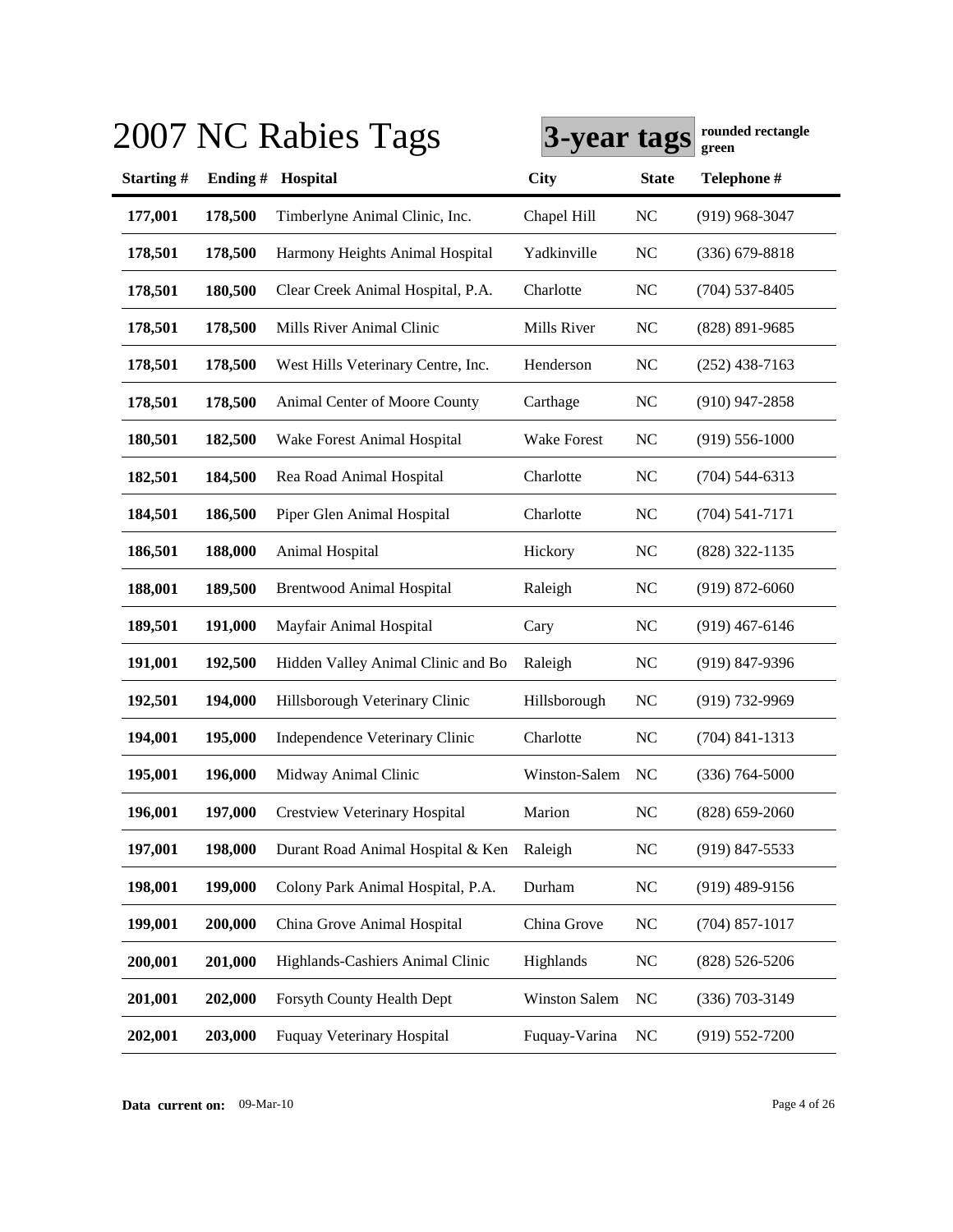|           |         | 2007 NC Rabies Tags                | 3-year tags        |                | rounded rectangle<br>green |
|-----------|---------|------------------------------------|--------------------|----------------|----------------------------|
| Starting# | Ending# | Hospital                           | <b>City</b>        | <b>State</b>   | Telephone #                |
| 177,001   | 178,500 | Timberlyne Animal Clinic, Inc.     | Chapel Hill        | <b>NC</b>      | $(919)$ 968-3047           |
| 178,501   | 178,500 | Harmony Heights Animal Hospital    | Yadkinville        | <b>NC</b>      | $(336)$ 679-8818           |
| 178,501   | 180,500 | Clear Creek Animal Hospital, P.A.  | Charlotte          | <b>NC</b>      | $(704)$ 537-8405           |
| 178,501   | 178,500 | Mills River Animal Clinic          | Mills River        | <b>NC</b>      | (828) 891-9685             |
| 178,501   | 178,500 | West Hills Veterinary Centre, Inc. | Henderson          | <b>NC</b>      | $(252)$ 438-7163           |
| 178,501   | 178,500 | Animal Center of Moore County      | Carthage           | <b>NC</b>      | $(910)$ 947-2858           |
| 180,501   | 182,500 | Wake Forest Animal Hospital        | <b>Wake Forest</b> | <b>NC</b>      | $(919) 556 - 1000$         |
| 182,501   | 184,500 | Rea Road Animal Hospital           | Charlotte          | <b>NC</b>      | $(704)$ 544-6313           |
| 184,501   | 186,500 | Piper Glen Animal Hospital         | Charlotte          | N <sub>C</sub> | $(704) 541 - 7171$         |
| 186,501   | 188,000 | Animal Hospital                    | Hickory            | NC             | (828) 322-1135             |
| 188,001   | 189,500 | <b>Brentwood Animal Hospital</b>   | Raleigh            | NC             | $(919)$ 872-6060           |
| 189,501   | 191,000 | Mayfair Animal Hospital            | Cary               | N <sub>C</sub> | $(919)$ 467-6146           |
| 191,001   | 192,500 | Hidden Valley Animal Clinic and Bo | Raleigh            | <b>NC</b>      | $(919)$ 847-9396           |
| 192,501   | 194,000 | Hillsborough Veterinary Clinic     | Hillsborough       | <b>NC</b>      | $(919) 732 - 9969$         |
| 194,001   | 195,000 | Independence Veterinary Clinic     | Charlotte          | <b>NC</b>      | $(704)$ 841-1313           |
| 195,001   | 196,000 | Midway Animal Clinic               | Winston-Salem      | NC             | $(336) 764 - 5000$         |
| 196,001   | 197,000 | Crestview Veterinary Hospital      | Marion             | <b>NC</b>      | $(828)$ 659-2060           |
| 197,001   | 198,000 | Durant Road Animal Hospital & Ken  | Raleigh            | <b>NC</b>      | $(919)$ 847-5533           |
| 198,001   | 199,000 | Colony Park Animal Hospital, P.A.  | Durham             | <b>NC</b>      | $(919)$ 489-9156           |
| 199,001   | 200,000 | China Grove Animal Hospital        | China Grove        | <b>NC</b>      | $(704)$ 857-1017           |
| 200,001   | 201,000 | Highlands-Cashiers Animal Clinic   | Highlands          | <b>NC</b>      | $(828) 526 - 5206$         |
| 201,001   | 202,000 | Forsyth County Health Dept         | Winston Salem      | <b>NC</b>      | $(336)$ 703-3149           |
| 202,001   | 203,000 | <b>Fuquay Veterinary Hospital</b>  | Fuquay-Varina      | <b>NC</b>      | $(919) 552 - 7200$         |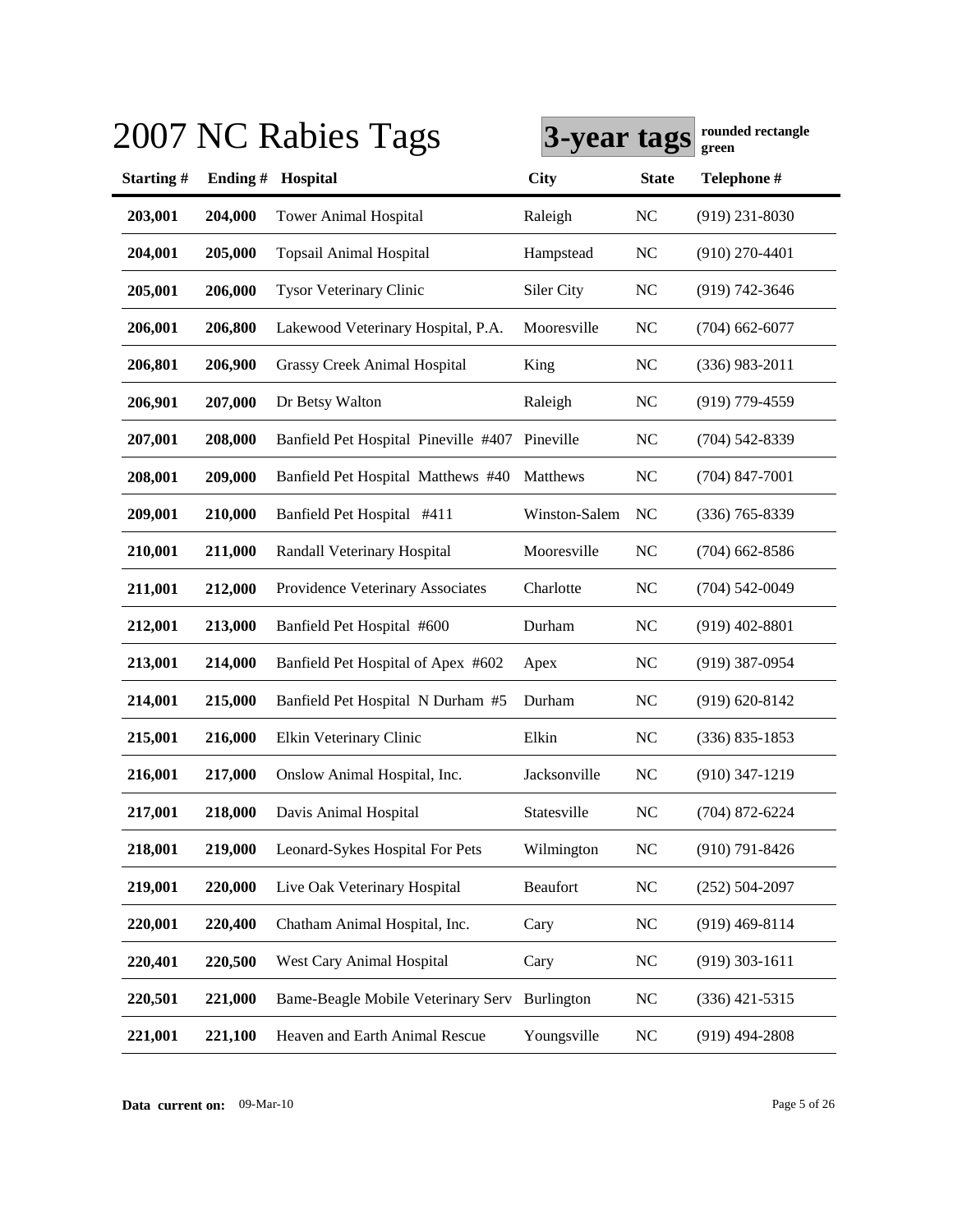|           |         | 2007 NC Rabies Tags                            | 3-year tags   |                | rounded rectangle<br>green |
|-----------|---------|------------------------------------------------|---------------|----------------|----------------------------|
| Starting# | Ending# | Hospital                                       | <b>City</b>   | <b>State</b>   | Telephone #                |
| 203,001   | 204,000 | <b>Tower Animal Hospital</b>                   | Raleigh       | <b>NC</b>      | $(919)$ 231-8030           |
| 204,001   | 205,000 | <b>Topsail Animal Hospital</b>                 | Hampstead     | <b>NC</b>      | $(910)$ 270-4401           |
| 205,001   | 206,000 | <b>Tysor Veterinary Clinic</b>                 | Siler City    | <b>NC</b>      | $(919) 742 - 3646$         |
| 206,001   | 206,800 | Lakewood Veterinary Hospital, P.A.             | Mooresville   | <b>NC</b>      | $(704)$ 662-6077           |
| 206,801   | 206,900 | <b>Grassy Creek Animal Hospital</b>            | King          | <b>NC</b>      | $(336)$ 983-2011           |
| 206,901   | 207,000 | Dr Betsy Walton                                | Raleigh       | <b>NC</b>      | $(919)$ 779-4559           |
| 207,001   | 208,000 | Banfield Pet Hospital Pineville #407 Pineville |               | <b>NC</b>      | (704) 542-8339             |
| 208,001   | 209,000 | Banfield Pet Hospital Matthews #40             | Matthews      | <b>NC</b>      | $(704)$ 847-7001           |
| 209,001   | 210,000 | Banfield Pet Hospital #411                     | Winston-Salem | N <sub>C</sub> | $(336)$ 765-8339           |
| 210,001   | 211,000 | Randall Veterinary Hospital                    | Mooresville   | N <sub>C</sub> | $(704)$ 662-8586           |
| 211,001   | 212,000 | Providence Veterinary Associates               | Charlotte     | <b>NC</b>      | $(704)$ 542-0049           |
| 212,001   | 213,000 | Banfield Pet Hospital #600                     | Durham        | N <sub>C</sub> | $(919)$ 402-8801           |
| 213,001   | 214,000 | Banfield Pet Hospital of Apex #602             | Apex          | N <sub>C</sub> | $(919)$ 387-0954           |
| 214,001   | 215,000 | Banfield Pet Hospital N Durham #5              | Durham        | <b>NC</b>      | $(919) 620 - 8142$         |
| 215,001   | 216,000 | Elkin Veterinary Clinic                        | Elkin         | N <sub>C</sub> | $(336) 835 - 1853$         |
| 216,001   | 217,000 | Onslow Animal Hospital, Inc.                   | Jacksonville  | N <sub>C</sub> | $(910)$ 347-1219           |
| 217,001   | 218,000 | Davis Animal Hospital                          | Statesville   | <b>NC</b>      | $(704)$ 872-6224           |
| 218,001   | 219,000 | Leonard-Sykes Hospital For Pets                | Wilmington    | NC             | $(910)$ 791-8426           |
| 219,001   | 220,000 | Live Oak Veterinary Hospital                   | Beaufort      | <b>NC</b>      | $(252) 504 - 2097$         |
| 220,001   | 220,400 | Chatham Animal Hospital, Inc.                  | Cary          | <b>NC</b>      | $(919)$ 469-8114           |
| 220,401   | 220,500 | West Cary Animal Hospital                      | Cary          | <b>NC</b>      | $(919)$ 303-1611           |
| 220,501   | 221,000 | Bame-Beagle Mobile Veterinary Serv Burlington  |               | <b>NC</b>      | $(336)$ 421-5315           |
| 221,001   | 221,100 | Heaven and Earth Animal Rescue                 | Youngsville   | <b>NC</b>      | $(919)$ 494-2808           |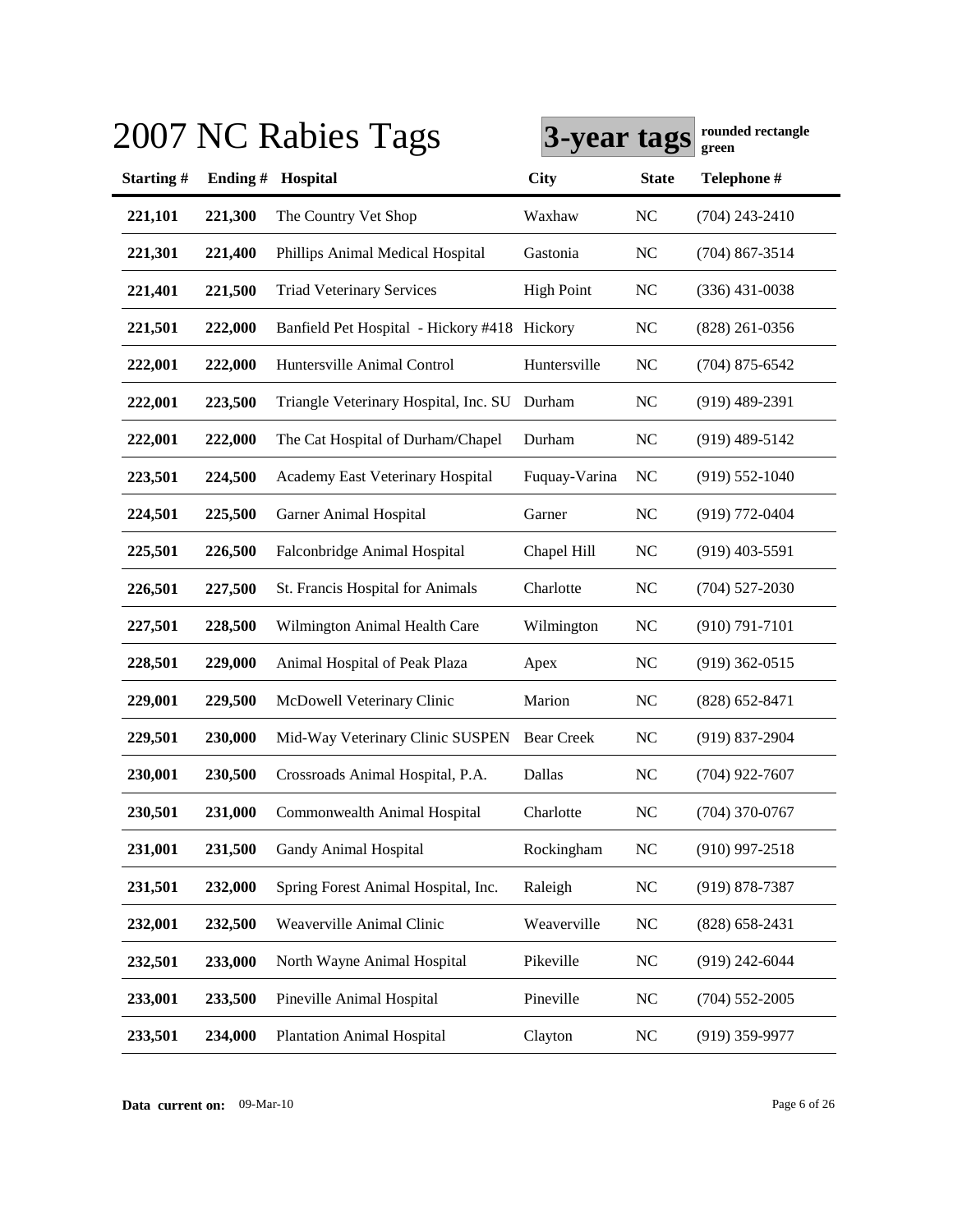|           |         | 2007 NC Rabies Tags                          | 3-year tags       |                | rounded rectangle<br>green |
|-----------|---------|----------------------------------------------|-------------------|----------------|----------------------------|
| Starting# | Ending# | Hospital                                     | <b>City</b>       | <b>State</b>   | Telephone #                |
| 221,101   | 221,300 | The Country Vet Shop                         | Waxhaw            | N <sub>C</sub> | $(704)$ 243-2410           |
| 221,301   | 221,400 | Phillips Animal Medical Hospital             | Gastonia          | <b>NC</b>      | $(704)$ 867-3514           |
| 221,401   | 221,500 | <b>Triad Veterinary Services</b>             | <b>High Point</b> | <b>NC</b>      | $(336)$ 431-0038           |
| 221,501   | 222,000 | Banfield Pet Hospital - Hickory #418 Hickory |                   | <b>NC</b>      | $(828)$ 261-0356           |
| 222,001   | 222,000 | Huntersville Animal Control                  | Huntersville      | N <sub>C</sub> | $(704)$ 875-6542           |
| 222,001   | 223,500 | Triangle Veterinary Hospital, Inc. SU        | Durham            | NC             | $(919)$ 489-2391           |
| 222,001   | 222,000 | The Cat Hospital of Durham/Chapel            | Durham            | <b>NC</b>      | $(919)$ 489-5142           |
| 223,501   | 224,500 | Academy East Veterinary Hospital             | Fuquay-Varina     | <b>NC</b>      | $(919) 552 - 1040$         |
| 224,501   | 225,500 | Garner Animal Hospital                       | Garner            | <b>NC</b>      | (919) 772-0404             |
| 225,501   | 226,500 | Falconbridge Animal Hospital                 | Chapel Hill       | <b>NC</b>      | $(919)$ 403-5591           |
| 226,501   | 227,500 | St. Francis Hospital for Animals             | Charlotte         | <b>NC</b>      | $(704)$ 527-2030           |
| 227,501   | 228,500 | Wilmington Animal Health Care                | Wilmington        | NC             | $(910) 791 - 7101$         |
| 228,501   | 229,000 | Animal Hospital of Peak Plaza                | Apex              | <b>NC</b>      | $(919)$ 362-0515           |
| 229,001   | 229,500 | McDowell Veterinary Clinic                   | Marion            | NC             | $(828) 652 - 8471$         |
| 229,501   | 230,000 | Mid-Way Veterinary Clinic SUSPEN             | <b>Bear Creek</b> | <b>NC</b>      | $(919)$ 837-2904           |
| 230,001   | 230,500 | Crossroads Animal Hospital, P.A.             | Dallas            | NC             | $(704)$ 922-7607           |
| 230,501   | 231,000 | Commonwealth Animal Hospital                 | Charlotte         | NC             | $(704)$ 370-0767           |
| 231,001   | 231,500 | Gandy Animal Hospital                        | Rockingham        | NC             | $(910)$ 997-2518           |
| 231,501   | 232,000 | Spring Forest Animal Hospital, Inc.          | Raleigh           | <b>NC</b>      | $(919) 878 - 7387$         |
| 232,001   | 232,500 | Weaverville Animal Clinic                    | Weaverville       | <b>NC</b>      | $(828)$ 658-2431           |
| 232,501   | 233,000 | North Wayne Animal Hospital                  | Pikeville         | <b>NC</b>      | $(919)$ 242-6044           |
| 233,001   | 233,500 | Pineville Animal Hospital                    | Pineville         | NC             | $(704)$ 552-2005           |
| 233,501   | 234,000 | <b>Plantation Animal Hospital</b>            | Clayton           | <b>NC</b>      | $(919)$ 359-9977           |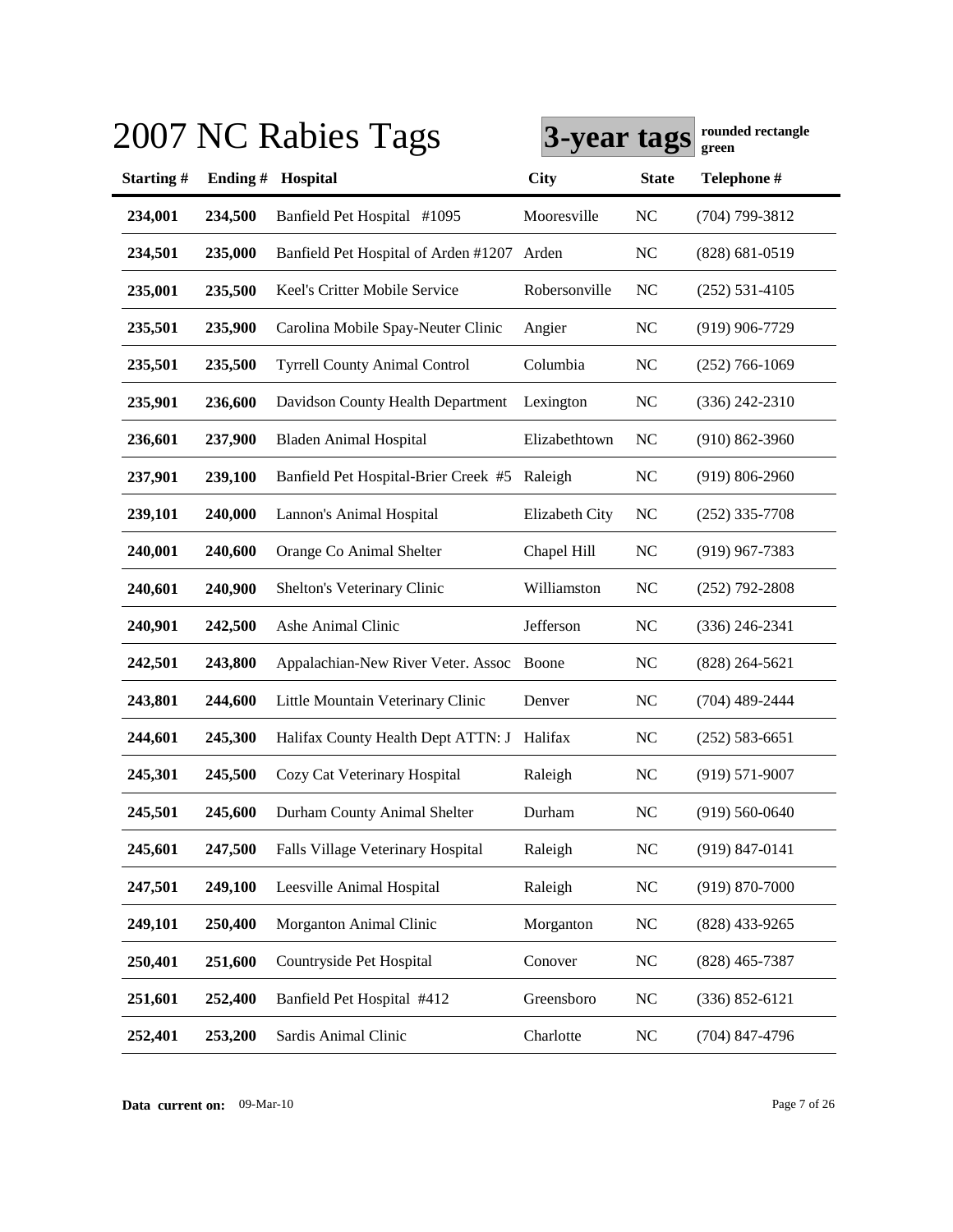|           |         | 2007 NC Rabies Tags                          | 3-year tags    |                | rounded rectangle<br>green |
|-----------|---------|----------------------------------------------|----------------|----------------|----------------------------|
| Starting# | Ending# | Hospital                                     | <b>City</b>    | <b>State</b>   | Telephone #                |
| 234,001   | 234,500 | Banfield Pet Hospital #1095                  | Mooresville    | <b>NC</b>      | (704) 799-3812             |
| 234,501   | 235,000 | Banfield Pet Hospital of Arden #1207 Arden   |                | <b>NC</b>      | $(828) 681 - 0519$         |
| 235,001   | 235,500 | Keel's Critter Mobile Service                | Robersonville  | <b>NC</b>      | $(252) 531 - 4105$         |
| 235,501   | 235,900 | Carolina Mobile Spay-Neuter Clinic           | Angier         | <b>NC</b>      | $(919)$ 906-7729           |
| 235,501   | 235,500 | <b>Tyrrell County Animal Control</b>         | Columbia       | <b>NC</b>      | $(252)$ 766-1069           |
| 235,901   | 236,600 | Davidson County Health Department            | Lexington      | <b>NC</b>      | $(336)$ 242-2310           |
| 236,601   | 237,900 | <b>Bladen Animal Hospital</b>                | Elizabethtown  | N <sub>C</sub> | $(910) 862 - 3960$         |
| 237,901   | 239,100 | Banfield Pet Hospital-Brier Creek #5 Raleigh |                | <b>NC</b>      | $(919) 806 - 2960$         |
| 239,101   | 240,000 | Lannon's Animal Hospital                     | Elizabeth City | NC             | $(252)$ 335-7708           |
| 240,001   | 240,600 | Orange Co Animal Shelter                     | Chapel Hill    | <b>NC</b>      | $(919)$ 967-7383           |
| 240,601   | 240,900 | Shelton's Veterinary Clinic                  | Williamston    | N <sub>C</sub> | $(252)$ 792-2808           |
| 240,901   | 242,500 | Ashe Animal Clinic                           | Jefferson      | <b>NC</b>      | $(336)$ 246-2341           |
| 242,501   | 243,800 | Appalachian-New River Veter. Assoc           | Boone          | <b>NC</b>      | $(828)$ 264-5621           |
| 243,801   | 244,600 | Little Mountain Veterinary Clinic            | Denver         | <b>NC</b>      | $(704)$ 489-2444           |
| 244,601   | 245,300 | Halifax County Health Dept ATTN: J Halifax   |                | <b>NC</b>      | $(252) 583 - 6651$         |
| 245,301   | 245,500 | Cozy Cat Veterinary Hospital                 | Raleigh        | N <sub>C</sub> | $(919) 571-9007$           |
| 245,501   | 245,600 | Durham County Animal Shelter                 | Durham         | <b>NC</b>      | $(919) 560 - 0640$         |
| 245,601   | 247,500 | Falls Village Veterinary Hospital            | Raleigh        | NC             | $(919) 847 - 0141$         |
| 247,501   | 249,100 | Leesville Animal Hospital                    | Raleigh        | <b>NC</b>      | $(919) 870 - 7000$         |
| 249,101   | 250,400 | Morganton Animal Clinic                      | Morganton      | <b>NC</b>      | $(828)$ 433-9265           |
| 250,401   | 251,600 | Countryside Pet Hospital                     | Conover        | NC             | $(828)$ 465-7387           |
| 251,601   | 252,400 | Banfield Pet Hospital #412                   | Greensboro     | <b>NC</b>      | $(336) 852 - 6121$         |
| 252,401   | 253,200 | Sardis Animal Clinic                         | Charlotte      | <b>NC</b>      | $(704)$ 847-4796           |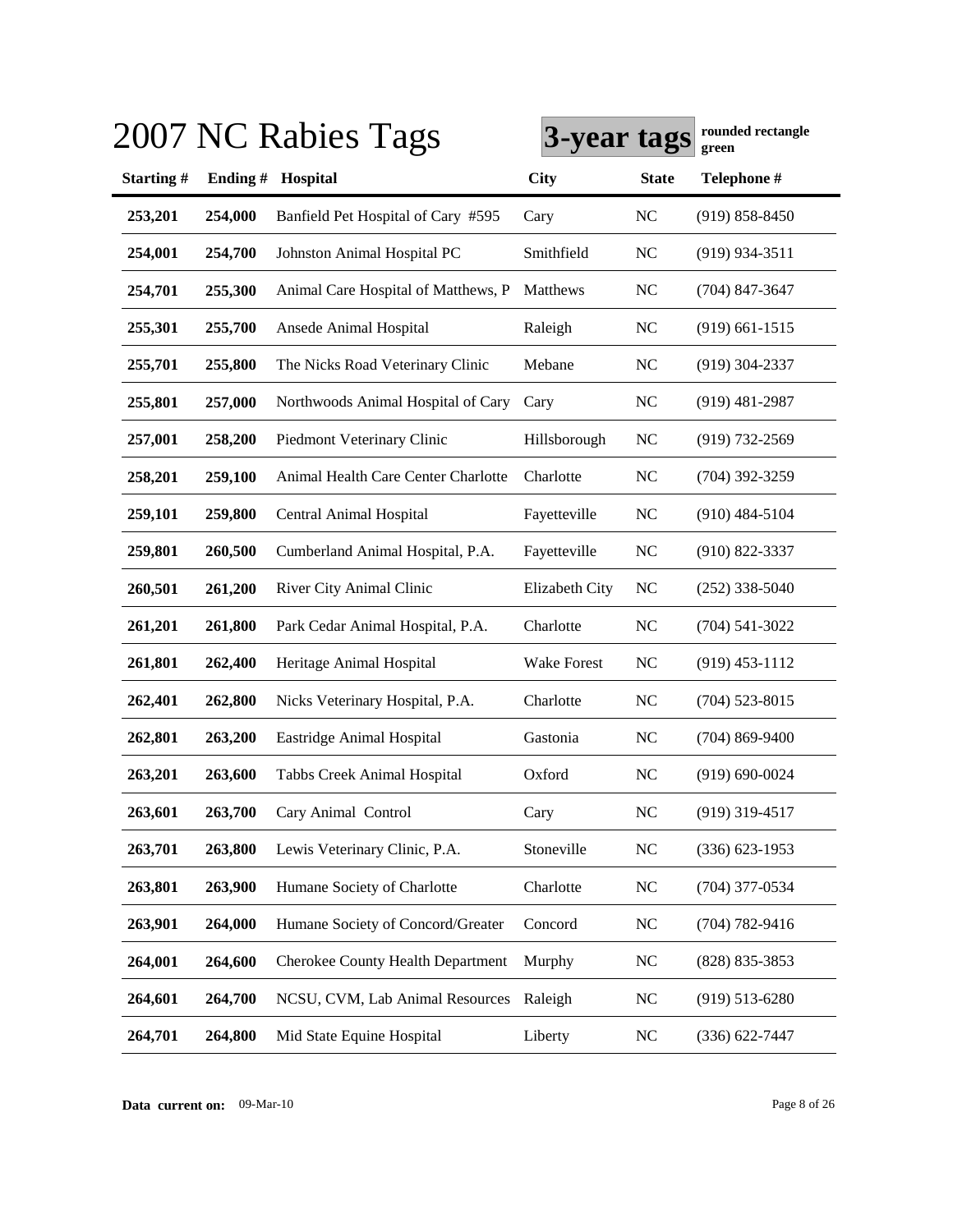|           |         | 2007 NC Rabies Tags                      | 3-year tags    |                | rounded rectangle<br>green |
|-----------|---------|------------------------------------------|----------------|----------------|----------------------------|
| Starting# | Ending# | Hospital                                 | <b>City</b>    | <b>State</b>   | Telephone #                |
| 253,201   | 254,000 | Banfield Pet Hospital of Cary #595       | Cary           | NC             | $(919) 858 - 8450$         |
| 254,001   | 254,700 | Johnston Animal Hospital PC              | Smithfield     | NC             | $(919)$ 934-3511           |
| 254,701   | 255,300 | Animal Care Hospital of Matthews, P      | Matthews       | N <sub>C</sub> | $(704)$ 847-3647           |
| 255,301   | 255,700 | Ansede Animal Hospital                   | Raleigh        | N <sub>C</sub> | $(919)$ 661-1515           |
| 255,701   | 255,800 | The Nicks Road Veterinary Clinic         | Mebane         | N <sub>C</sub> | $(919)$ 304-2337           |
| 255,801   | 257,000 | Northwoods Animal Hospital of Cary       | Cary           | NC             | $(919)$ 481-2987           |
| 257,001   | 258,200 | Piedmont Veterinary Clinic               | Hillsborough   | NC             | (919) 732-2569             |
| 258,201   | 259,100 | Animal Health Care Center Charlotte      | Charlotte      | NC             | $(704)$ 392-3259           |
| 259,101   | 259,800 | Central Animal Hospital                  | Fayetteville   | <b>NC</b>      | $(910)$ 484-5104           |
| 259,801   | 260,500 | Cumberland Animal Hospital, P.A.         | Fayetteville   | <b>NC</b>      | $(910) 822 - 3337$         |
| 260,501   | 261,200 | River City Animal Clinic                 | Elizabeth City | <b>NC</b>      | $(252)$ 338-5040           |
| 261,201   | 261,800 | Park Cedar Animal Hospital, P.A.         | Charlotte      | N <sub>C</sub> | $(704)$ 541-3022           |
| 261,801   | 262,400 | Heritage Animal Hospital                 | Wake Forest    | NC             | $(919)$ 453-1112           |
| 262,401   | 262,800 | Nicks Veterinary Hospital, P.A.          | Charlotte      | N <sub>C</sub> | $(704)$ 523-8015           |
| 262,801   | 263,200 | Eastridge Animal Hospital                | Gastonia       | N <sub>C</sub> | $(704) 869 - 9400$         |
| 263,201   | 263,600 | Tabbs Creek Animal Hospital              | Oxford         | NC             | $(919) 690 - 0024$         |
| 263,601   | 263,700 | Cary Animal Control                      | Cary           | <b>NC</b>      | $(919)$ 319-4517           |
| 263,701   | 263,800 | Lewis Veterinary Clinic, P.A.            | Stoneville     | NC             | $(336)$ 623-1953           |
| 263,801   | 263,900 | Humane Society of Charlotte              | Charlotte      | <b>NC</b>      | $(704)$ 377-0534           |
| 263,901   | 264,000 | Humane Society of Concord/Greater        | Concord        | <b>NC</b>      | $(704) 782 - 9416$         |
| 264,001   | 264,600 | <b>Cherokee County Health Department</b> | Murphy         | <b>NC</b>      | $(828)$ 835-3853           |
| 264,601   | 264,700 | NCSU, CVM, Lab Animal Resources          | Raleigh        | <b>NC</b>      | $(919)$ 513-6280           |
| 264,701   | 264,800 | Mid State Equine Hospital                | Liberty        | <b>NC</b>      | $(336) 622 - 7447$         |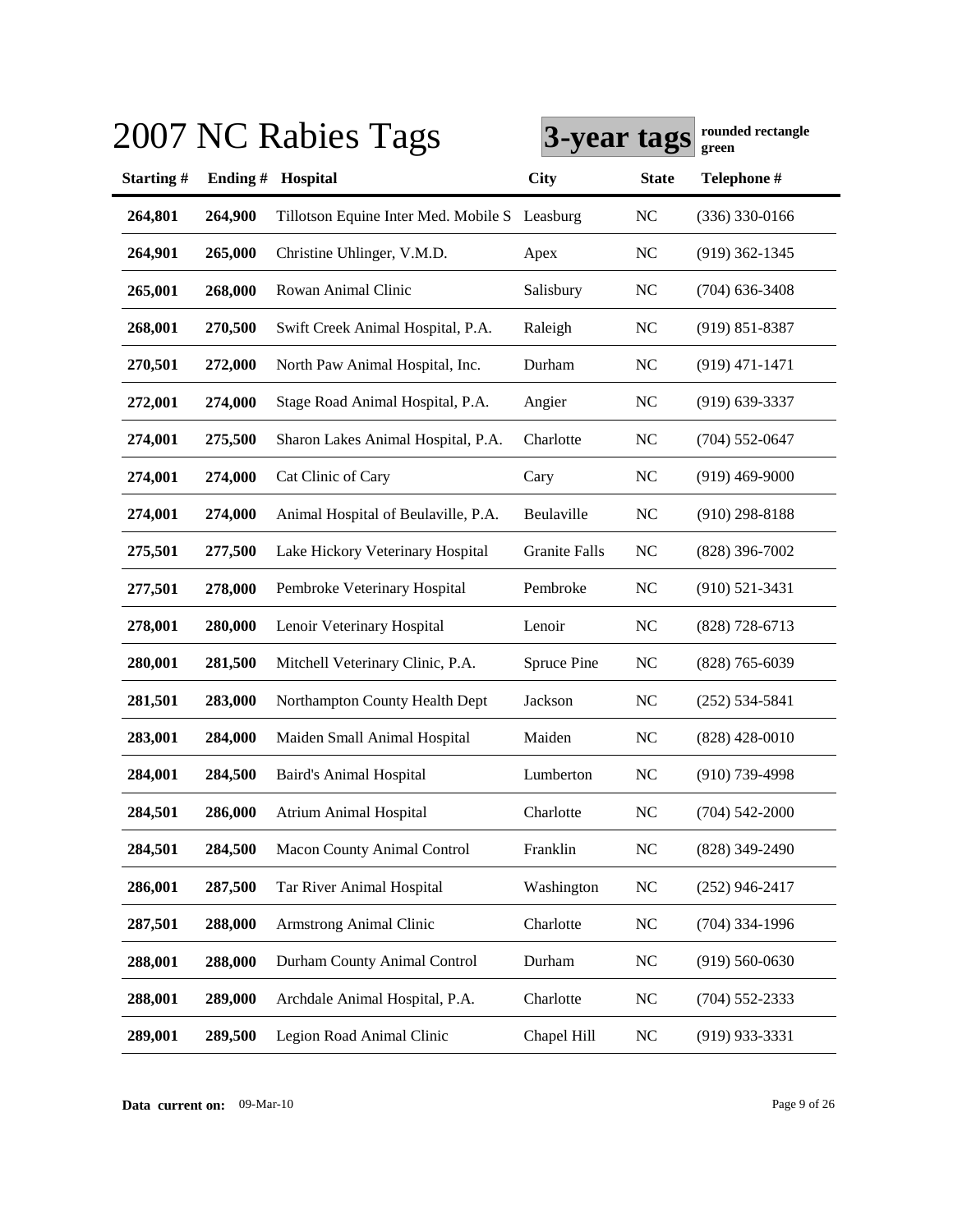|           |         | 2007 NC Rabies Tags                           | 3-year tags          |                | rounded rectangle<br>green |
|-----------|---------|-----------------------------------------------|----------------------|----------------|----------------------------|
| Starting# | Ending# | Hospital                                      | <b>City</b>          | <b>State</b>   | Telephone #                |
| 264,801   | 264,900 | Tillotson Equine Inter Med. Mobile S Leasburg |                      | <b>NC</b>      | $(336)$ 330-0166           |
| 264,901   | 265,000 | Christine Uhlinger, V.M.D.                    | Apex                 | N <sub>C</sub> | $(919)$ 362-1345           |
| 265,001   | 268,000 | Rowan Animal Clinic                           | Salisbury            | N <sub>C</sub> | $(704)$ 636-3408           |
| 268,001   | 270,500 | Swift Creek Animal Hospital, P.A.             | Raleigh              | N <sub>C</sub> | $(919) 851 - 8387$         |
| 270,501   | 272,000 | North Paw Animal Hospital, Inc.               | Durham               | N <sub>C</sub> | $(919)$ 471-1471           |
| 272,001   | 274,000 | Stage Road Animal Hospital, P.A.              | Angier               | N <sub>C</sub> | $(919) 639 - 3337$         |
| 274,001   | 275,500 | Sharon Lakes Animal Hospital, P.A.            | Charlotte            | N <sub>C</sub> | $(704) 552 - 0647$         |
| 274,001   | 274,000 | Cat Clinic of Cary                            | Cary                 | NC             | $(919)$ 469-9000           |
| 274,001   | 274,000 | Animal Hospital of Beulaville, P.A.           | Beulaville           | <b>NC</b>      | $(910)$ 298-8188           |
| 275,501   | 277,500 | Lake Hickory Veterinary Hospital              | <b>Granite Falls</b> | N <sub>C</sub> | $(828)$ 396-7002           |
| 277,501   | 278,000 | Pembroke Veterinary Hospital                  | Pembroke             | NC             | $(910) 521 - 3431$         |
| 278,001   | 280,000 | Lenoir Veterinary Hospital                    | Lenoir               | N <sub>C</sub> | $(828)$ 728-6713           |
| 280,001   | 281,500 | Mitchell Veterinary Clinic, P.A.              | Spruce Pine          | N <sub>C</sub> | $(828)$ 765-6039           |
| 281,501   | 283,000 | Northampton County Health Dept                | Jackson              | <b>NC</b>      | $(252) 534 - 5841$         |
| 283,001   | 284,000 | Maiden Small Animal Hospital                  | Maiden               | <b>NC</b>      | $(828)$ 428-0010           |
| 284,001   | 284,500 | <b>Baird's Animal Hospital</b>                | Lumberton            | N <sub>C</sub> | $(910)$ 739-4998           |
| 284,501   | 286,000 | Atrium Animal Hospital                        | Charlotte            | N <sub>C</sub> | $(704) 542 - 2000$         |
| 284,501   | 284,500 | Macon County Animal Control                   | Franklin             | <b>NC</b>      | $(828)$ 349-2490           |
| 286,001   | 287,500 | Tar River Animal Hospital                     | Washington           | <b>NC</b>      | $(252)$ 946-2417           |
| 287,501   | 288,000 | <b>Armstrong Animal Clinic</b>                | Charlotte            | <b>NC</b>      | $(704)$ 334-1996           |
| 288,001   | 288,000 | Durham County Animal Control                  | Durham               | <b>NC</b>      | $(919)$ 560-0630           |
| 288,001   | 289,000 | Archdale Animal Hospital, P.A.                | Charlotte            | <b>NC</b>      | $(704)$ 552-2333           |
| 289,001   | 289,500 | Legion Road Animal Clinic                     | Chapel Hill          | <b>NC</b>      | $(919)$ 933-3331           |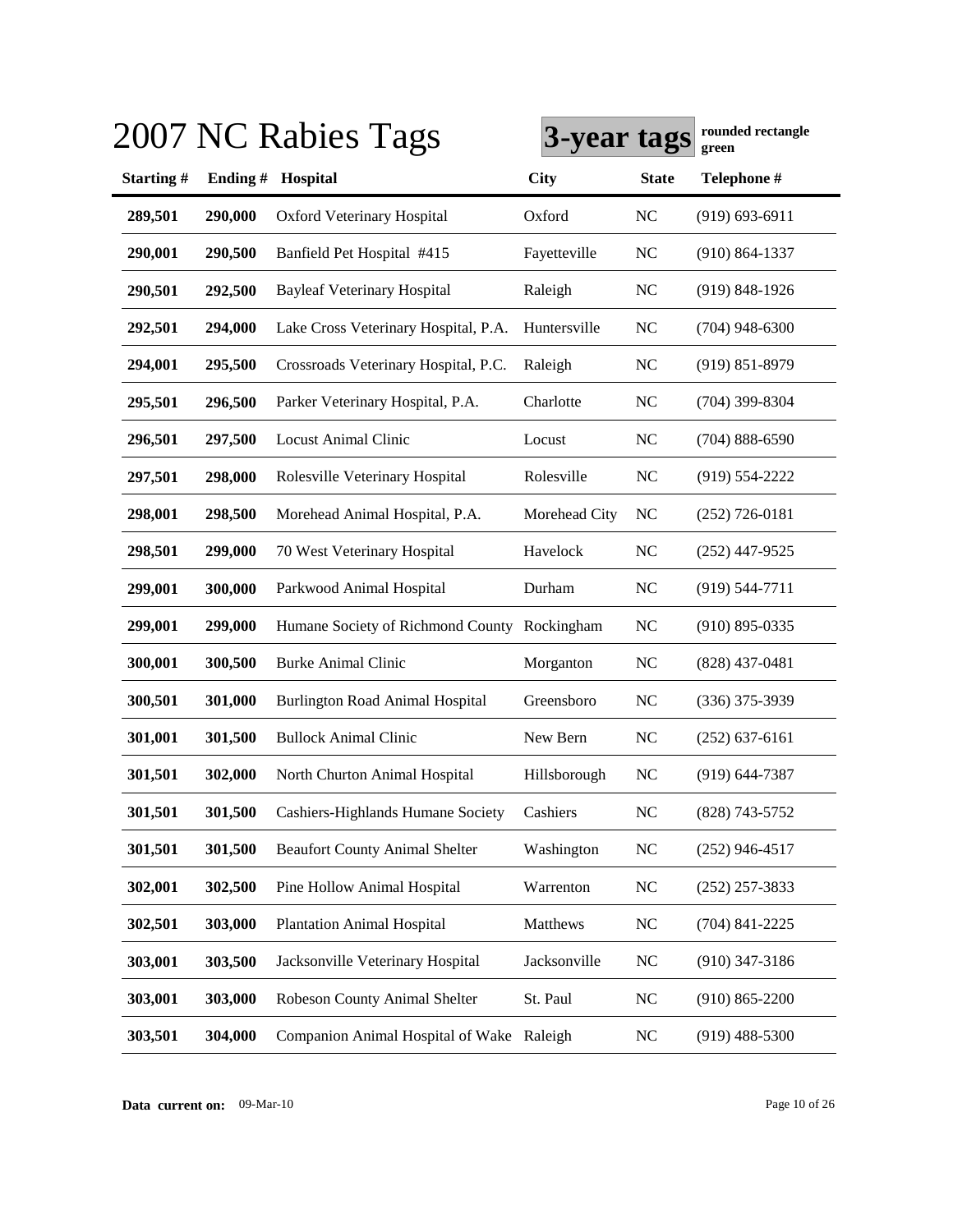|           |         | 2007 NC Rabies Tags                          | 3-year tags   |                | rounded rectangle<br>green |
|-----------|---------|----------------------------------------------|---------------|----------------|----------------------------|
| Starting# | Ending# | Hospital                                     | <b>City</b>   | <b>State</b>   | Telephone #                |
| 289,501   | 290,000 | <b>Oxford Veterinary Hospital</b>            | Oxford        | N <sub>C</sub> | $(919) 693 - 6911$         |
| 290,001   | 290,500 | Banfield Pet Hospital #415                   | Fayetteville  | <b>NC</b>      | $(910) 864 - 1337$         |
| 290,501   | 292,500 | <b>Bayleaf Veterinary Hospital</b>           | Raleigh       | <b>NC</b>      | $(919) 848 - 1926$         |
| 292,501   | 294,000 | Lake Cross Veterinary Hospital, P.A.         | Huntersville  | N <sub>C</sub> | $(704)$ 948-6300           |
| 294,001   | 295,500 | Crossroads Veterinary Hospital, P.C.         | Raleigh       | N <sub>C</sub> | $(919) 851 - 8979$         |
| 295,501   | 296,500 | Parker Veterinary Hospital, P.A.             | Charlotte     | <b>NC</b>      | $(704)$ 399-8304           |
| 296,501   | 297,500 | <b>Locust Animal Clinic</b>                  | Locust        | <b>NC</b>      | $(704) 888 - 6590$         |
| 297,501   | 298,000 | Rolesville Veterinary Hospital               | Rolesville    | <b>NC</b>      | $(919) 554 - 2222$         |
| 298,001   | 298,500 | Morehead Animal Hospital, P.A.               | Morehead City | NC             | $(252)$ 726-0181           |
| 298,501   | 299,000 | 70 West Veterinary Hospital                  | Havelock      | <b>NC</b>      | $(252)$ 447-9525           |
| 299,001   | 300,000 | Parkwood Animal Hospital                     | Durham        | NC             | $(919) 544 - 7711$         |
| 299,001   | 299,000 | Humane Society of Richmond County Rockingham |               | <b>NC</b>      | $(910)$ 895-0335           |
| 300,001   | 300,500 | <b>Burke Animal Clinic</b>                   | Morganton     | <b>NC</b>      | $(828)$ 437-0481           |
| 300,501   | 301,000 | <b>Burlington Road Animal Hospital</b>       | Greensboro    | <b>NC</b>      | $(336)$ 375-3939           |
| 301,001   | 301,500 | <b>Bullock Animal Clinic</b>                 | New Bern      | <b>NC</b>      | $(252)$ 637-6161           |
| 301,501   | 302,000 | North Churton Animal Hospital                | Hillsborough  | <b>NC</b>      | $(919) 644 - 7387$         |
| 301,501   | 301,500 | Cashiers-Highlands Humane Society            | Cashiers      | <b>NC</b>      | $(828)$ 743-5752           |
| 301,501   | 301,500 | <b>Beaufort County Animal Shelter</b>        | Washington    | <b>NC</b>      | $(252)$ 946-4517           |
| 302,001   | 302,500 | Pine Hollow Animal Hospital                  | Warrenton     | <b>NC</b>      | $(252)$ 257-3833           |
| 302,501   | 303,000 | <b>Plantation Animal Hospital</b>            | Matthews      | <b>NC</b>      | $(704)$ 841-2225           |
| 303,001   | 303,500 | Jacksonville Veterinary Hospital             | Jacksonville  | NC             | $(910)$ 347-3186           |
| 303,001   | 303,000 | Robeson County Animal Shelter                | St. Paul      | <b>NC</b>      | $(910) 865 - 2200$         |
| 303,501   | 304,000 | Companion Animal Hospital of Wake Raleigh    |               | <b>NC</b>      | $(919)$ 488-5300           |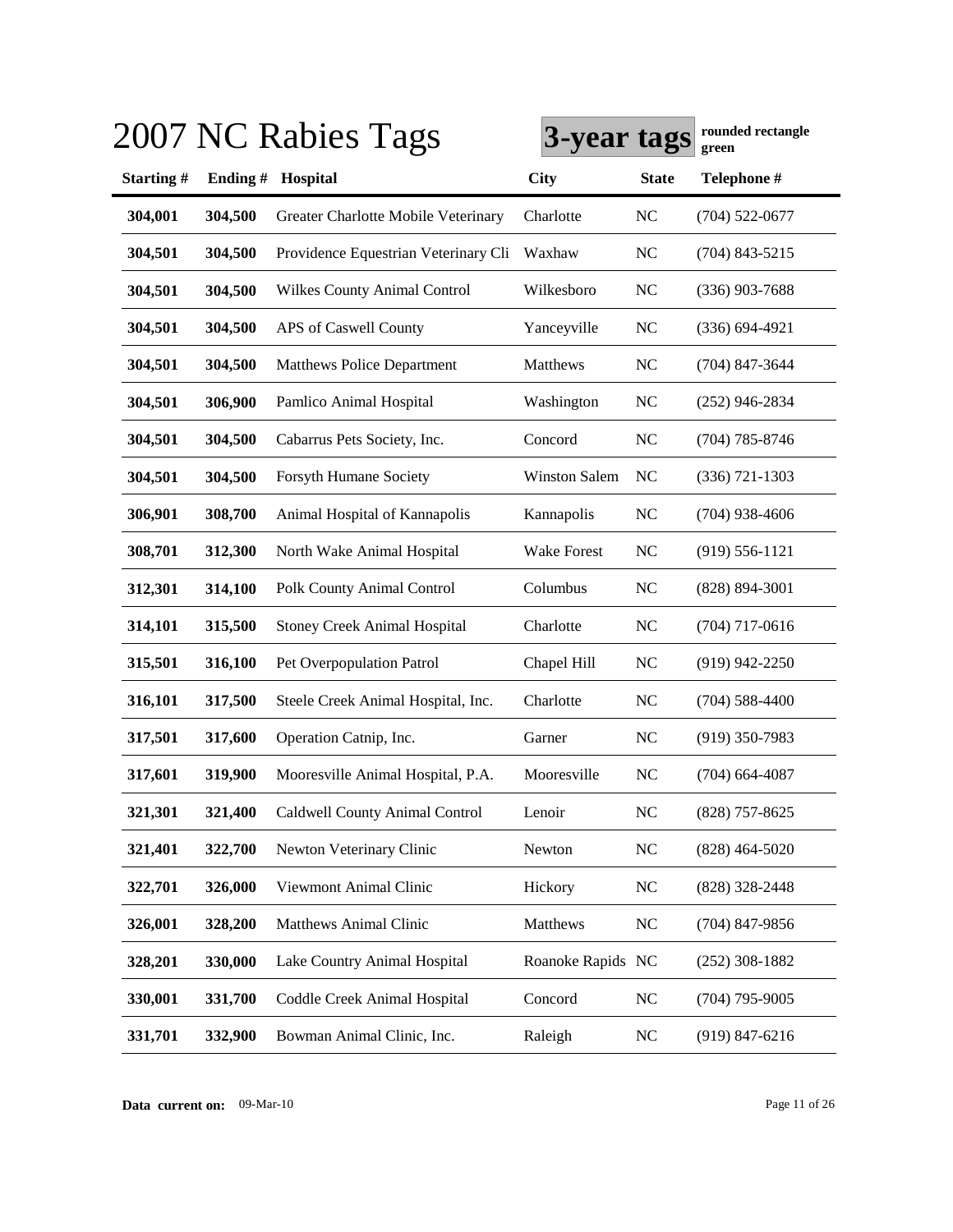|           |         | 2007 NC Rabies Tags                  | 3-year tags          |                | rounded rectangle<br>green |
|-----------|---------|--------------------------------------|----------------------|----------------|----------------------------|
| Starting# | Ending# | Hospital                             | <b>City</b>          | <b>State</b>   | Telephone #                |
| 304,001   | 304,500 | Greater Charlotte Mobile Veterinary  | Charlotte            | <b>NC</b>      | $(704)$ 522-0677           |
| 304,501   | 304,500 | Providence Equestrian Veterinary Cli | Waxhaw               | <b>NC</b>      | $(704)$ 843-5215           |
| 304,501   | 304,500 | <b>Wilkes County Animal Control</b>  | Wilkesboro           | <b>NC</b>      | $(336)$ 903-7688           |
| 304,501   | 304,500 | APS of Caswell County                | Yanceyville          | <b>NC</b>      | $(336) 694 - 4921$         |
| 304,501   | 304,500 | <b>Matthews Police Department</b>    | Matthews             | <b>NC</b>      | $(704)$ 847-3644           |
| 304,501   | 306,900 | Pamlico Animal Hospital              | Washington           | <b>NC</b>      | $(252)$ 946-2834           |
| 304,501   | 304,500 | Cabarrus Pets Society, Inc.          | Concord              | <b>NC</b>      | $(704)$ 785-8746           |
| 304,501   | 304,500 | Forsyth Humane Society               | <b>Winston Salem</b> | NC             | $(336) 721 - 1303$         |
| 306,901   | 308,700 | Animal Hospital of Kannapolis        | Kannapolis           | <b>NC</b>      | $(704)$ 938-4606           |
| 308,701   | 312,300 | North Wake Animal Hospital           | <b>Wake Forest</b>   | N <sub>C</sub> | $(919) 556 - 1121$         |
| 312,301   | 314,100 | Polk County Animal Control           | Columbus             | <b>NC</b>      | $(828)$ 894-3001           |
| 314,101   | 315,500 | <b>Stoney Creek Animal Hospital</b>  | Charlotte            | <b>NC</b>      | $(704)$ 717-0616           |
| 315,501   | 316,100 | Pet Overpopulation Patrol            | Chapel Hill          | <b>NC</b>      | $(919)$ 942-2250           |
| 316,101   | 317,500 | Steele Creek Animal Hospital, Inc.   | Charlotte            | <b>NC</b>      | $(704)$ 588-4400           |
| 317,501   | 317,600 | Operation Catnip, Inc.               | Garner               | N <sub>C</sub> | $(919)$ 350-7983           |
| 317,601   | 319,900 | Mooresville Animal Hospital, P.A.    | Mooresville          | NC             | $(704)$ 664-4087           |
| 321,301   | 321,400 | Caldwell County Animal Control       | Lenoir               | <b>NC</b>      | $(828)$ 757-8625           |
| 321,401   | 322,700 | Newton Veterinary Clinic             | Newton               | NC             | $(828)$ 464-5020           |
| 322,701   | 326,000 | Viewmont Animal Clinic               | Hickory              | <b>NC</b>      | $(828)$ 328-2448           |
| 326,001   | 328,200 | Matthews Animal Clinic               | Matthews             | <b>NC</b>      | $(704)$ 847-9856           |
| 328,201   | 330,000 | Lake Country Animal Hospital         | Roanoke Rapids NC    |                | $(252)$ 308-1882           |
| 330,001   | 331,700 | Coddle Creek Animal Hospital         | Concord              | <b>NC</b>      | $(704)$ 795-9005           |
| 331,701   | 332,900 | Bowman Animal Clinic, Inc.           | Raleigh              | <b>NC</b>      | $(919)$ 847-6216           |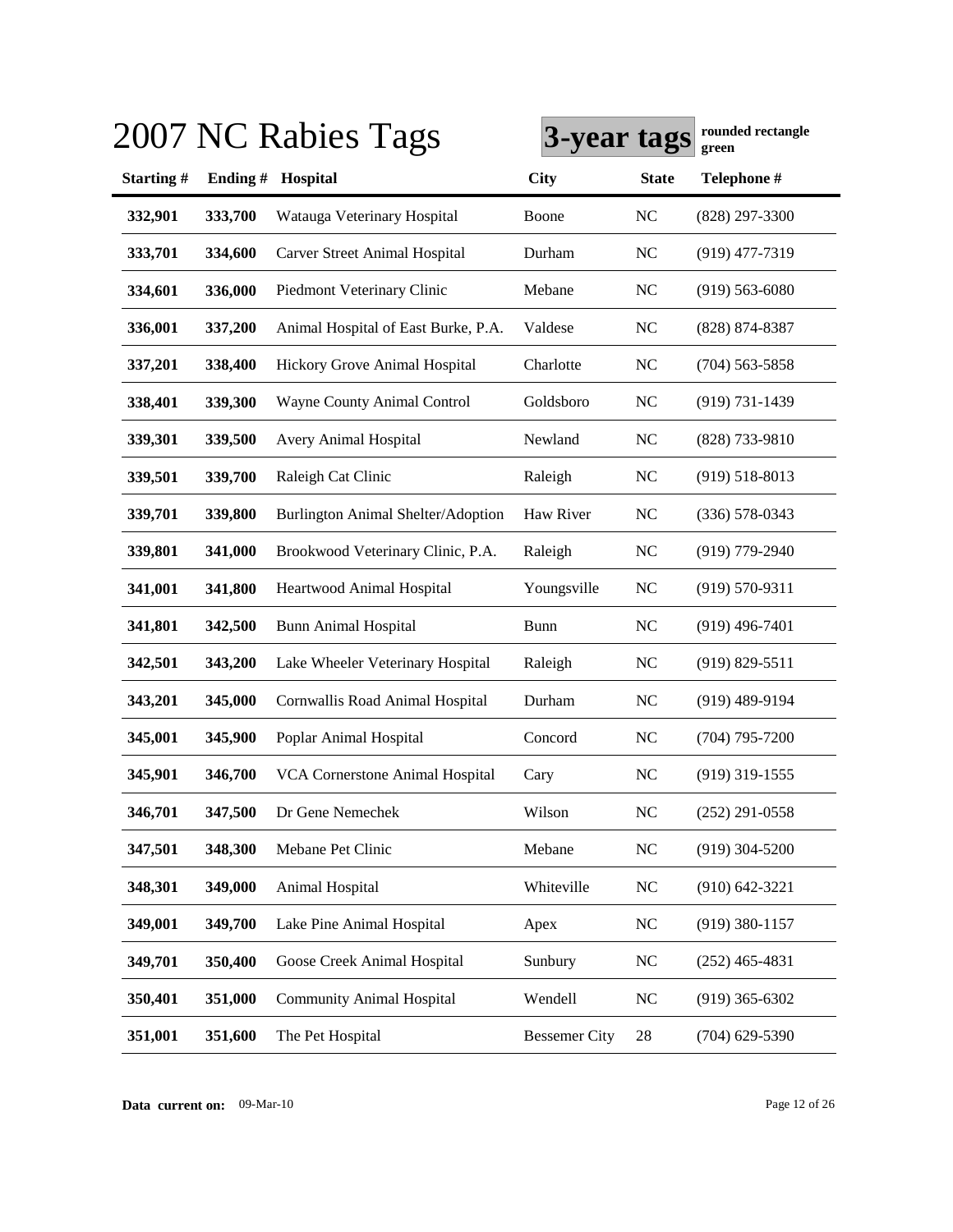|           |         | 2007 NC Rabies Tags                    | 3-year tags          |                | rounded rectangle<br>green |
|-----------|---------|----------------------------------------|----------------------|----------------|----------------------------|
| Starting# | Ending# | Hospital                               | <b>City</b>          | <b>State</b>   | Telephone #                |
| 332,901   | 333,700 | Watauga Veterinary Hospital            | Boone                | <b>NC</b>      | $(828)$ 297-3300           |
| 333,701   | 334,600 | Carver Street Animal Hospital          | Durham               | <b>NC</b>      | $(919)$ 477-7319           |
| 334,601   | 336,000 | Piedmont Veterinary Clinic             | Mebane               | <b>NC</b>      | $(919)$ 563-6080           |
| 336,001   | 337,200 | Animal Hospital of East Burke, P.A.    | Valdese              | <b>NC</b>      | (828) 874-8387             |
| 337,201   | 338,400 | Hickory Grove Animal Hospital          | Charlotte            | <b>NC</b>      | $(704)$ 563-5858           |
| 338,401   | 339,300 | Wayne County Animal Control            | Goldsboro            | <b>NC</b>      | $(919) 731 - 1439$         |
| 339,301   | 339,500 | Avery Animal Hospital                  | Newland              | <b>NC</b>      | (828) 733-9810             |
| 339,501   | 339,700 | Raleigh Cat Clinic                     | Raleigh              | <b>NC</b>      | $(919) 518 - 8013$         |
| 339,701   | 339,800 | Burlington Animal Shelter/Adoption     | Haw River            | N <sub>C</sub> | $(336) 578 - 0343$         |
| 339,801   | 341,000 | Brookwood Veterinary Clinic, P.A.      | Raleigh              | <b>NC</b>      | $(919)$ 779-2940           |
| 341,001   | 341,800 | Heartwood Animal Hospital              | Youngsville          | <b>NC</b>      | $(919) 570 - 9311$         |
| 341,801   | 342,500 | <b>Bunn Animal Hospital</b>            | <b>Bunn</b>          | N <sub>C</sub> | $(919)$ 496-7401           |
| 342,501   | 343,200 | Lake Wheeler Veterinary Hospital       | Raleigh              | <b>NC</b>      | $(919) 829 - 5511$         |
| 343,201   | 345,000 | Cornwallis Road Animal Hospital        | Durham               | <b>NC</b>      | $(919)$ 489-9194           |
| 345,001   | 345,900 | Poplar Animal Hospital                 | Concord              | N <sub>C</sub> | $(704)$ 795-7200           |
| 345,901   | 346,700 | <b>VCA Cornerstone Animal Hospital</b> | Cary                 | N <sub>C</sub> | $(919)$ 319-1555           |
| 346,701   | 347,500 | Dr Gene Nemechek                       | Wilson               | <b>NC</b>      | $(252)$ 291-0558           |
| 347,501   | 348,300 | Mebane Pet Clinic                      | Mebane               | <b>NC</b>      | $(919)$ 304-5200           |
| 348,301   | 349,000 | Animal Hospital                        | Whiteville           | NC             | $(910) 642 - 3221$         |
| 349,001   | 349,700 | Lake Pine Animal Hospital              | Apex                 | NC             | $(919)$ 380-1157           |
| 349,701   | 350,400 | Goose Creek Animal Hospital            | Sunbury              | <b>NC</b>      | $(252)$ 465-4831           |
| 350,401   | 351,000 | <b>Community Animal Hospital</b>       | Wendell              | <b>NC</b>      | $(919)$ 365-6302           |
| 351,001   | 351,600 | The Pet Hospital                       | <b>Bessemer City</b> | 28             | $(704)$ 629-5390           |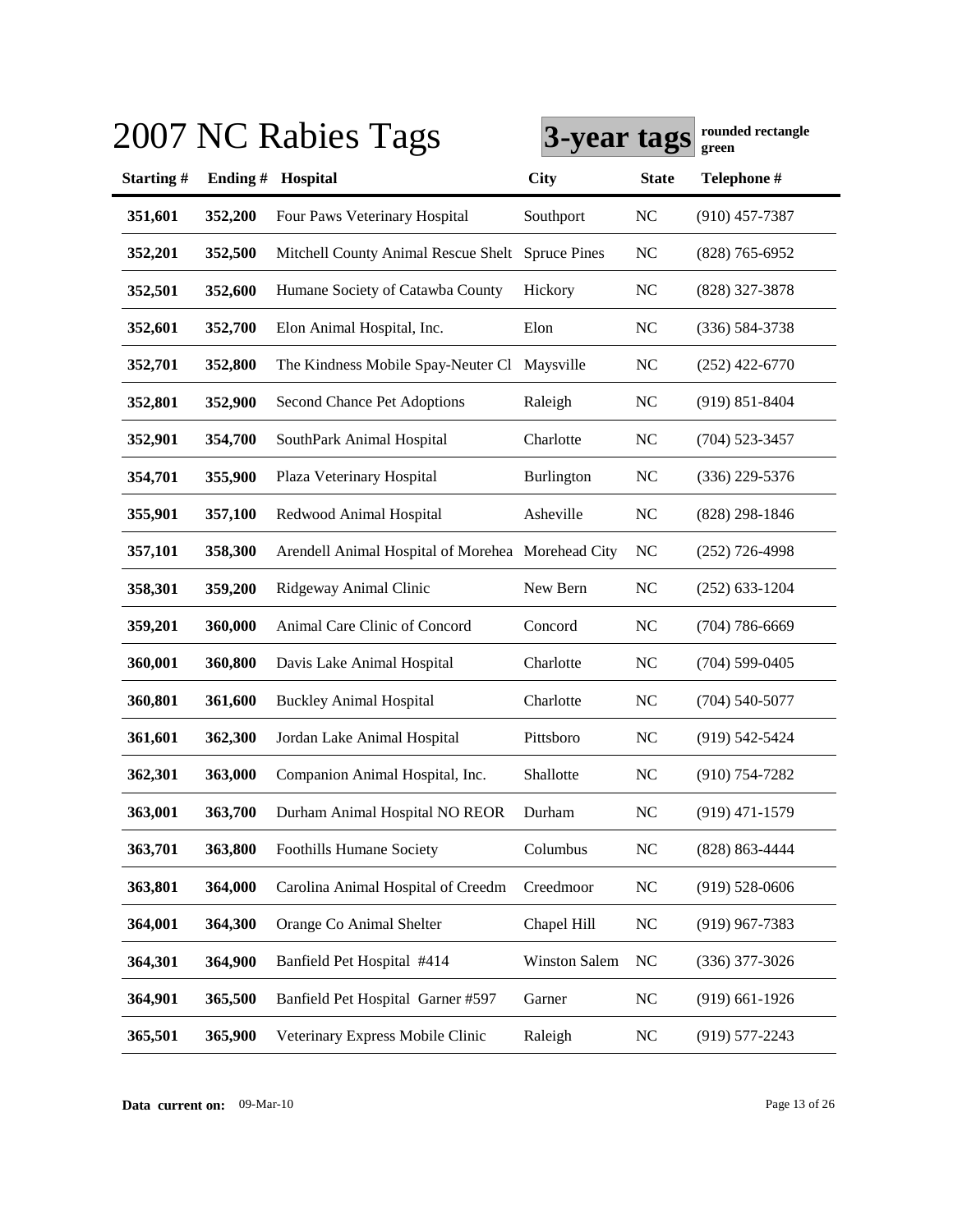|           |         | 2007 NC Rabies Tags                               | 3-year tags          |                | rounded rectangle<br>green |
|-----------|---------|---------------------------------------------------|----------------------|----------------|----------------------------|
| Starting# | Ending# | Hospital                                          | <b>City</b>          | <b>State</b>   | Telephone #                |
| 351,601   | 352,200 | Four Paws Veterinary Hospital                     | Southport            | N <sub>C</sub> | $(910)$ 457-7387           |
| 352,201   | 352,500 | Mitchell County Animal Rescue Shelt Spruce Pines  |                      | <b>NC</b>      | $(828)$ 765-6952           |
| 352,501   | 352,600 | Humane Society of Catawba County                  | Hickory              | <b>NC</b>      | (828) 327-3878             |
| 352,601   | 352,700 | Elon Animal Hospital, Inc.                        | Elon                 | <b>NC</b>      | $(336) 584 - 3738$         |
| 352,701   | 352,800 | The Kindness Mobile Spay-Neuter Cl Maysville      |                      | <b>NC</b>      | $(252)$ 422-6770           |
| 352,801   | 352,900 | Second Chance Pet Adoptions                       | Raleigh              | <b>NC</b>      | $(919) 851 - 8404$         |
| 352,901   | 354,700 | SouthPark Animal Hospital                         | Charlotte            | <b>NC</b>      | $(704)$ 523-3457           |
| 354,701   | 355,900 | Plaza Veterinary Hospital                         | Burlington           | <b>NC</b>      | (336) 229-5376             |
| 355,901   | 357,100 | Redwood Animal Hospital                           | Asheville            | N <sub>C</sub> | (828) 298-1846             |
| 357,101   | 358,300 | Arendell Animal Hospital of Morehea Morehead City |                      | NC             | $(252)$ 726-4998           |
| 358,301   | 359,200 | Ridgeway Animal Clinic                            | New Bern             | <b>NC</b>      | $(252)$ 633-1204           |
| 359,201   | 360,000 | Animal Care Clinic of Concord                     | Concord              | <b>NC</b>      | $(704) 786 - 6669$         |
| 360,001   | 360,800 | Davis Lake Animal Hospital                        | Charlotte            | <b>NC</b>      | $(704)$ 599-0405           |
| 360,801   | 361,600 | <b>Buckley Animal Hospital</b>                    | Charlotte            | <b>NC</b>      | $(704) 540 - 5077$         |
| 361,601   | 362,300 | Jordan Lake Animal Hospital                       | Pittsboro            | <b>NC</b>      | $(919) 542 - 5424$         |
| 362,301   | 363,000 | Companion Animal Hospital, Inc.                   | Shallotte            | N <sub>C</sub> | $(910) 754 - 7282$         |
| 363,001   | 363,700 | Durham Animal Hospital NO REOR                    | Durham               | <b>NC</b>      | $(919)$ 471-1579           |
| 363,701   | 363,800 | <b>Foothills Humane Society</b>                   | Columbus             | NC             | (828) 863-4444             |
| 363,801   | 364,000 | Carolina Animal Hospital of Creedm                | Creedmoor            | <b>NC</b>      | $(919) 528 - 0606$         |
| 364,001   | 364,300 | Orange Co Animal Shelter                          | Chapel Hill          | <b>NC</b>      | $(919)$ 967-7383           |
| 364,301   | 364,900 | Banfield Pet Hospital #414                        | <b>Winston Salem</b> | <b>NC</b>      | $(336)$ 377-3026           |
| 364,901   | 365,500 | Banfield Pet Hospital Garner #597                 | Garner               | NC             | $(919)$ 661-1926           |
| 365,501   | 365,900 | Veterinary Express Mobile Clinic                  | Raleigh              | <b>NC</b>      | $(919) 577 - 2243$         |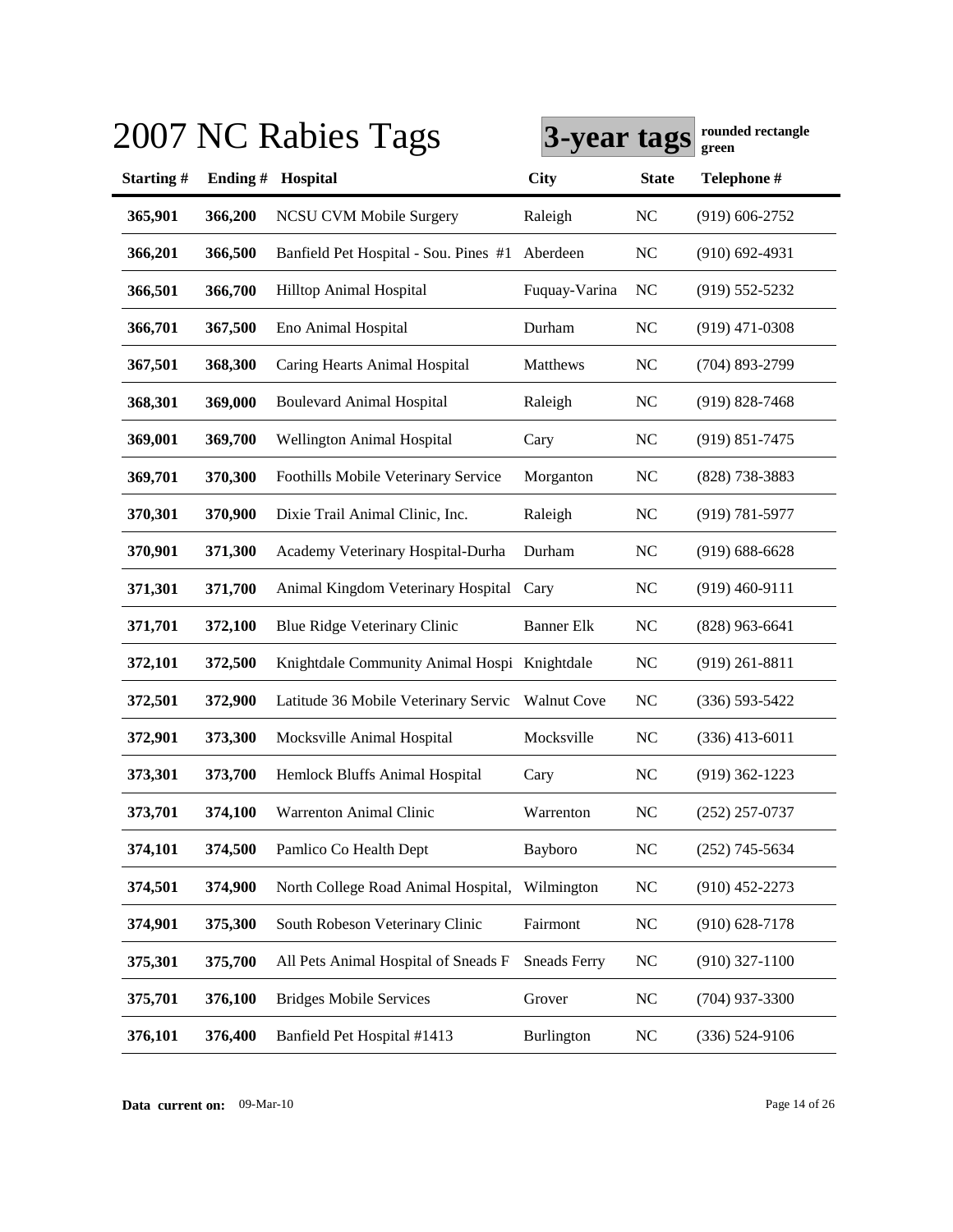|           |         | 2007 NC Rabies Tags                          | 3-year tags         |                | rounded rectangle<br>green |
|-----------|---------|----------------------------------------------|---------------------|----------------|----------------------------|
| Starting# |         | Ending # Hospital                            | <b>City</b>         | <b>State</b>   | Telephone #                |
| 365,901   | 366,200 | NCSU CVM Mobile Surgery                      | Raleigh             | <b>NC</b>      | $(919) 606 - 2752$         |
| 366,201   | 366,500 | Banfield Pet Hospital - Sou. Pines #1        | Aberdeen            | <b>NC</b>      | $(910)$ 692-4931           |
| 366,501   | 366,700 | <b>Hilltop Animal Hospital</b>               | Fuquay-Varina       | <b>NC</b>      | $(919) 552 - 5232$         |
| 366,701   | 367,500 | Eno Animal Hospital                          | Durham              | <b>NC</b>      | $(919)$ 471-0308           |
| 367,501   | 368,300 | Caring Hearts Animal Hospital                | Matthews            | <b>NC</b>      | $(704)$ 893-2799           |
| 368,301   | 369,000 | <b>Boulevard Animal Hospital</b>             | Raleigh             | NC             | $(919) 828 - 7468$         |
| 369,001   | 369,700 | <b>Wellington Animal Hospital</b>            | Cary                | N <sub>C</sub> | $(919) 851 - 7475$         |
| 369,701   | 370,300 | Foothills Mobile Veterinary Service          | Morganton           | N <sub>C</sub> | (828) 738-3883             |
| 370,301   | 370,900 | Dixie Trail Animal Clinic, Inc.              | Raleigh             | NC             | $(919) 781 - 5977$         |
| 370,901   | 371,300 | Academy Veterinary Hospital-Durha            | Durham              | N <sub>C</sub> | $(919) 688 - 6628$         |
| 371,301   | 371,700 | Animal Kingdom Veterinary Hospital           | Cary                | N <sub>C</sub> | $(919)$ 460-9111           |
| 371,701   | 372,100 | Blue Ridge Veterinary Clinic                 | <b>Banner Elk</b>   | <b>NC</b>      | $(828)$ 963-6641           |
| 372,101   | 372,500 | Knightdale Community Animal Hospi Knightdale |                     | <b>NC</b>      | $(919)$ 261-8811           |
| 372,501   | 372,900 | Latitude 36 Mobile Veterinary Servic         | <b>Walnut Cove</b>  | <b>NC</b>      | $(336) 593 - 5422$         |
| 372,901   | 373,300 | Mocksville Animal Hospital                   | Mocksville          | NC             | $(336)$ 413-6011           |
| 373,301   | 373,700 | Hemlock Bluffs Animal Hospital               | Cary                | <b>NC</b>      | $(919)$ 362-1223           |
| 373,701   | 374,100 | Warrenton Animal Clinic                      | Warrenton           | <b>NC</b>      | $(252)$ 257-0737           |
| 374,101   | 374,500 | Pamlico Co Health Dept                       | Bayboro             | $\rm NC$       | $(252)$ 745-5634           |
| 374,501   | 374,900 | North College Road Animal Hospital,          | Wilmington          | N <sub>C</sub> | $(910)$ 452-2273           |
| 374,901   | 375,300 | South Robeson Veterinary Clinic              | Fairmont            | N <sub>C</sub> | $(910)$ 628-7178           |
| 375,301   | 375,700 | All Pets Animal Hospital of Sneads F         | <b>Sneads Ferry</b> | <b>NC</b>      | $(910)$ 327-1100           |
| 375,701   | 376,100 | <b>Bridges Mobile Services</b>               | Grover              | <b>NC</b>      | $(704)$ 937-3300           |
| 376,101   | 376,400 | Banfield Pet Hospital #1413                  | Burlington          | N <sub>C</sub> | $(336) 524-9106$           |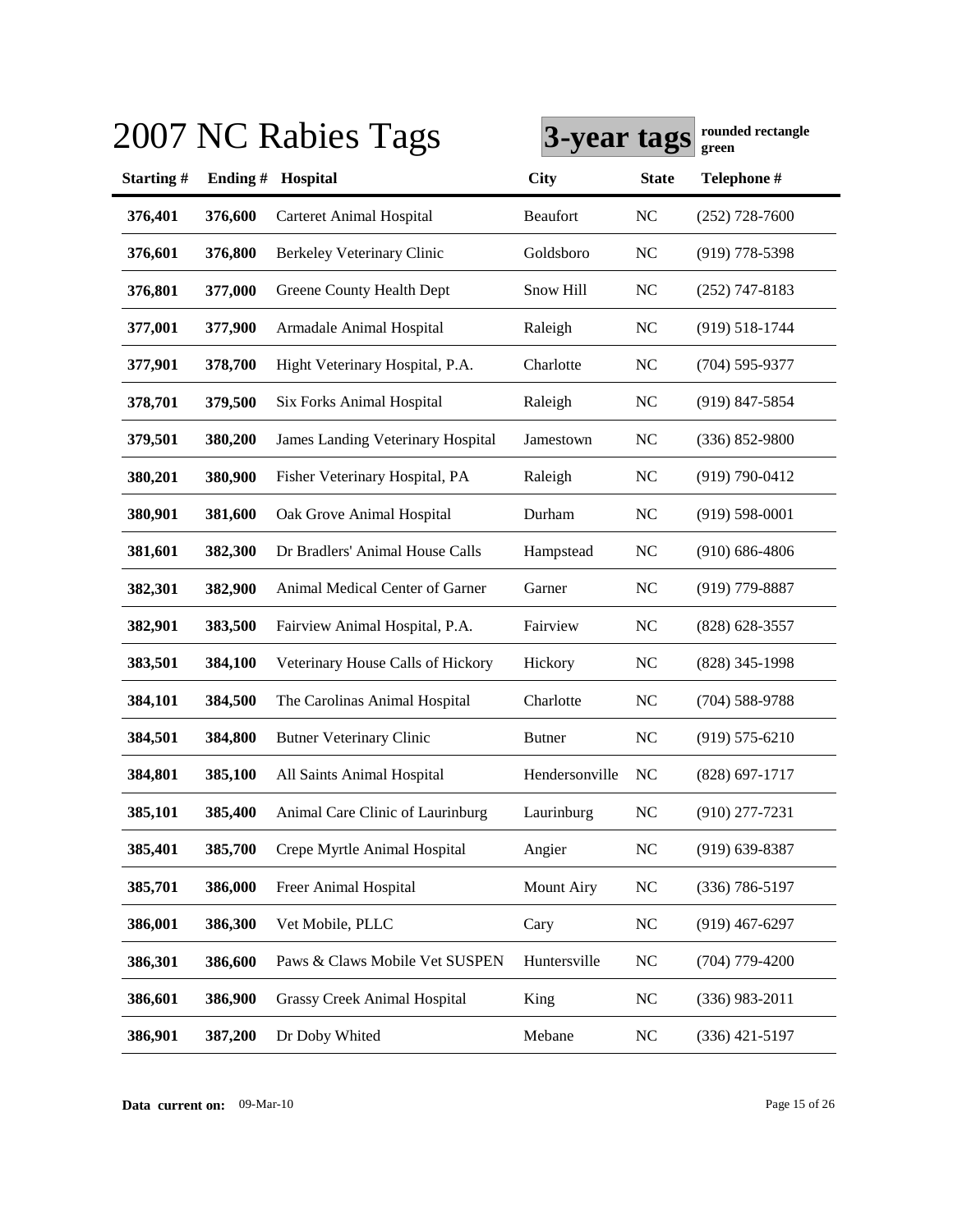|           |         | 2007 NC Rabies Tags                      | 3-year tags       |                | rounded rectangle<br>green |
|-----------|---------|------------------------------------------|-------------------|----------------|----------------------------|
| Starting# | Ending# | Hospital                                 | <b>City</b>       | <b>State</b>   | Telephone #                |
| 376,401   | 376,600 | <b>Carteret Animal Hospital</b>          | Beaufort          | <b>NC</b>      | $(252)$ 728-7600           |
| 376,601   | 376,800 | <b>Berkeley Veterinary Clinic</b>        | Goldsboro         | <b>NC</b>      | $(919)$ 778-5398           |
| 376,801   | 377,000 | Greene County Health Dept                | Snow Hill         | <b>NC</b>      | $(252)$ 747-8183           |
| 377,001   | 377,900 | Armadale Animal Hospital                 | Raleigh           | <b>NC</b>      | $(919) 518 - 1744$         |
| 377,901   | 378,700 | Hight Veterinary Hospital, P.A.          | Charlotte         | <b>NC</b>      | $(704)$ 595-9377           |
| 378,701   | 379,500 | Six Forks Animal Hospital                | Raleigh           | <b>NC</b>      | $(919)$ 847-5854           |
| 379,501   | 380,200 | <b>James Landing Veterinary Hospital</b> | Jamestown         | <b>NC</b>      | $(336) 852 - 9800$         |
| 380,201   | 380,900 | Fisher Veterinary Hospital, PA           | Raleigh           | <b>NC</b>      | $(919) 790 - 0412$         |
| 380,901   | 381,600 | Oak Grove Animal Hospital                | Durham            | N <sub>C</sub> | $(919) 598 - 0001$         |
| 381,601   | 382,300 | Dr Bradlers' Animal House Calls          | Hampstead         | NC             | $(910)$ 686-4806           |
| 382,301   | 382,900 | Animal Medical Center of Garner          | Garner            | NC             | $(919)$ 779-8887           |
| 382,901   | 383,500 | Fairview Animal Hospital, P.A.           | Fairview          | N <sub>C</sub> | $(828)$ 628-3557           |
| 383,501   | 384,100 | Veterinary House Calls of Hickory        | Hickory           | <b>NC</b>      | $(828)$ 345-1998           |
| 384,101   | 384,500 | The Carolinas Animal Hospital            | Charlotte         | <b>NC</b>      | $(704) 588 - 9788$         |
| 384,501   | 384,800 | <b>Butner Veterinary Clinic</b>          | <b>Butner</b>     | N <sub>C</sub> | $(919) 575 - 6210$         |
| 384,801   | 385,100 | All Saints Animal Hospital               | Hendersonville    | N <sub>C</sub> | $(828)$ 697-1717           |
| 385,101   | 385,400 | Animal Care Clinic of Laurinburg         | Laurinburg        | <b>NC</b>      | $(910)$ 277-7231           |
| 385,401   | 385,700 | Crepe Myrtle Animal Hospital             | Angier            | <b>NC</b>      | $(919)$ 639-8387           |
| 385,701   | 386,000 | Freer Animal Hospital                    | <b>Mount Airy</b> | <b>NC</b>      | $(336) 786 - 5197$         |
| 386,001   | 386,300 | Vet Mobile, PLLC                         | Cary              | NC             | $(919)$ 467-6297           |
| 386,301   | 386,600 | Paws & Claws Mobile Vet SUSPEN           | Huntersville      | NC             | $(704)$ 779-4200           |
| 386,601   | 386,900 | <b>Grassy Creek Animal Hospital</b>      | King              | <b>NC</b>      | $(336)$ 983-2011           |
| 386,901   | 387,200 | Dr Doby Whited                           | Mebane            | <b>NC</b>      | $(336)$ 421-5197           |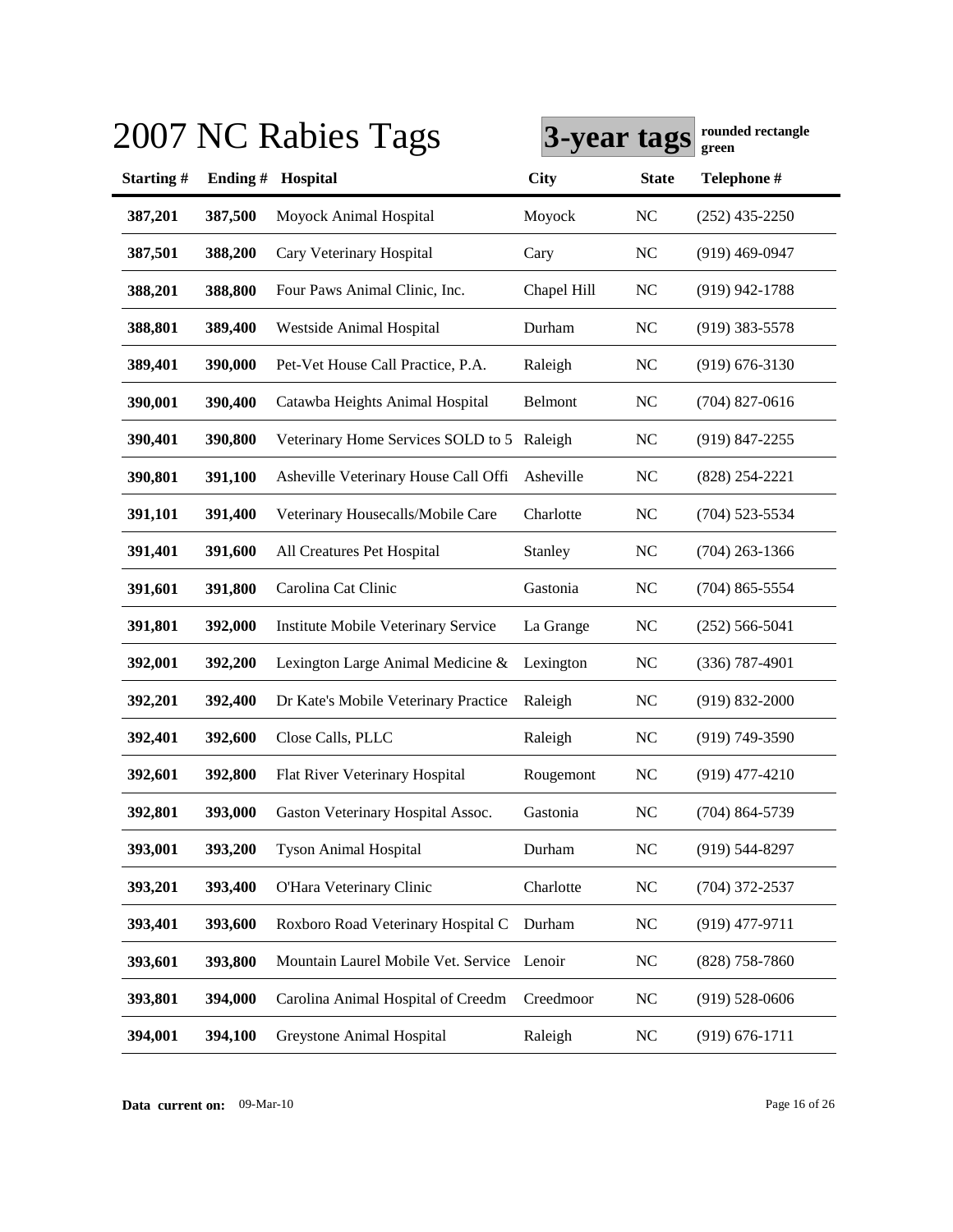|           |         | 2007 NC Rabies Tags                        | 3-year tags |                | rounded rectangle<br>green |
|-----------|---------|--------------------------------------------|-------------|----------------|----------------------------|
| Starting# | Ending# | Hospital                                   | <b>City</b> | <b>State</b>   | Telephone #                |
| 387,201   | 387,500 | Moyock Animal Hospital                     | Moyock      | <b>NC</b>      | $(252)$ 435-2250           |
| 387,501   | 388,200 | Cary Veterinary Hospital                   | Cary        | N <sub>C</sub> | $(919)$ 469-0947           |
| 388,201   | 388,800 | Four Paws Animal Clinic, Inc.              | Chapel Hill | <b>NC</b>      | $(919)$ 942-1788           |
| 388,801   | 389,400 | Westside Animal Hospital                   | Durham      | <b>NC</b>      | $(919)$ 383-5578           |
| 389,401   | 390,000 | Pet-Vet House Call Practice, P.A.          | Raleigh     | <b>NC</b>      | $(919) 676 - 3130$         |
| 390,001   | 390,400 | Catawba Heights Animal Hospital            | Belmont     | <b>NC</b>      | $(704)$ 827-0616           |
| 390,401   | 390,800 | Veterinary Home Services SOLD to 5         | Raleigh     | <b>NC</b>      | $(919)$ 847-2255           |
| 390,801   | 391,100 | Asheville Veterinary House Call Offi       | Asheville   | N <sub>C</sub> | $(828)$ 254-2221           |
| 391,101   | 391,400 | Veterinary Housecalls/Mobile Care          | Charlotte   | <b>NC</b>      | $(704)$ 523-5534           |
| 391,401   | 391,600 | All Creatures Pet Hospital                 | Stanley     | NC             | $(704)$ 263-1366           |
| 391,601   | 391,800 | Carolina Cat Clinic                        | Gastonia    | <b>NC</b>      | $(704)$ 865-5554           |
| 391,801   | 392,000 | Institute Mobile Veterinary Service        | La Grange   | NC             | $(252) 566 - 5041$         |
| 392,001   | 392,200 | Lexington Large Animal Medicine &          | Lexington   | <b>NC</b>      | $(336)$ 787-4901           |
| 392,201   | 392,400 | Dr Kate's Mobile Veterinary Practice       | Raleigh     | NC             | $(919) 832 - 2000$         |
| 392,401   | 392,600 | Close Calls, PLLC                          | Raleigh     | N <sub>C</sub> | $(919) 749 - 3590$         |
| 392,601   | 392,800 | Flat River Veterinary Hospital             | Rougemont   | <b>NC</b>      | $(919)$ 477-4210           |
| 392,801   | 393,000 | Gaston Veterinary Hospital Assoc.          | Gastonia    | <b>NC</b>      | $(704) 864 - 5739$         |
| 393,001   | 393,200 | <b>Tyson Animal Hospital</b>               | Durham      | NC             | $(919) 544 - 8297$         |
| 393,201   | 393,400 | O'Hara Veterinary Clinic                   | Charlotte   | <b>NC</b>      | $(704)$ 372-2537           |
| 393,401   | 393,600 | Roxboro Road Veterinary Hospital C         | Durham      | <b>NC</b>      | $(919)$ 477-9711           |
| 393,601   | 393,800 | Mountain Laurel Mobile Vet. Service Lenoir |             | NC             | $(828)$ 758-7860           |
| 393,801   | 394,000 | Carolina Animal Hospital of Creedm         | Creedmoor   | <b>NC</b>      | $(919)$ 528-0606           |
| 394,001   | 394,100 | Greystone Animal Hospital                  | Raleigh     | <b>NC</b>      | $(919) 676 - 1711$         |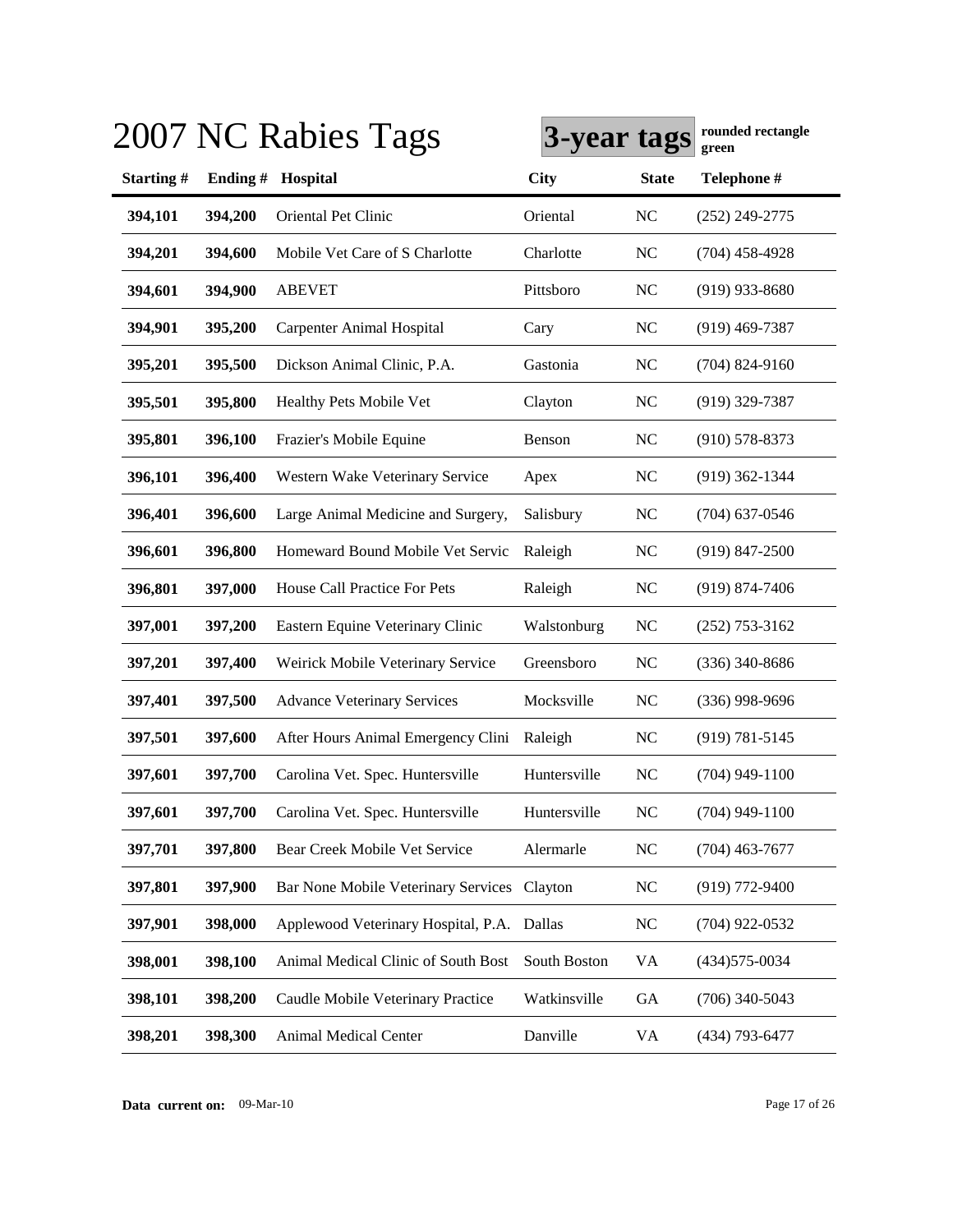|           |         | 2007 NC Rabies Tags                         | 3-year tags  |                | rounded rectangle<br>green |
|-----------|---------|---------------------------------------------|--------------|----------------|----------------------------|
| Starting# | Ending# | Hospital                                    | <b>City</b>  | <b>State</b>   | Telephone #                |
| 394,101   | 394,200 | Oriental Pet Clinic                         | Oriental     | <b>NC</b>      | $(252)$ 249-2775           |
| 394,201   | 394,600 | Mobile Vet Care of S Charlotte              | Charlotte    | <b>NC</b>      | $(704)$ 458-4928           |
| 394,601   | 394,900 | <b>ABEVET</b>                               | Pittsboro    | <b>NC</b>      | $(919)$ 933-8680           |
| 394,901   | 395,200 | Carpenter Animal Hospital                   | Cary         | <b>NC</b>      | $(919)$ 469-7387           |
| 395,201   | 395,500 | Dickson Animal Clinic, P.A.                 | Gastonia     | <b>NC</b>      | $(704)$ 824-9160           |
| 395,501   | 395,800 | Healthy Pets Mobile Vet                     | Clayton      | <b>NC</b>      | $(919)$ 329-7387           |
| 395,801   | 396,100 | Frazier's Mobile Equine                     | Benson       | <b>NC</b>      | $(910)$ 578-8373           |
| 396,101   | 396,400 | Western Wake Veterinary Service             | Apex         | <b>NC</b>      | $(919)$ 362-1344           |
| 396,401   | 396,600 | Large Animal Medicine and Surgery,          | Salisbury    | <b>NC</b>      | $(704)$ 637-0546           |
| 396,601   | 396,800 | Homeward Bound Mobile Vet Servic            | Raleigh      | NC             | $(919)$ 847-2500           |
| 396,801   | 397,000 | House Call Practice For Pets                | Raleigh      | <b>NC</b>      | $(919) 874 - 7406$         |
| 397,001   | 397,200 | Eastern Equine Veterinary Clinic            | Walstonburg  | <b>NC</b>      | $(252)$ 753-3162           |
| 397,201   | 397,400 | Weirick Mobile Veterinary Service           | Greensboro   | <b>NC</b>      | $(336)$ 340-8686           |
| 397,401   | 397,500 | <b>Advance Veterinary Services</b>          | Mocksville   | <b>NC</b>      | $(336)$ 998-9696           |
| 397,501   | 397,600 | After Hours Animal Emergency Clini          | Raleigh      | <b>NC</b>      | $(919) 781 - 5145$         |
| 397,601   | 397,700 | Carolina Vet. Spec. Huntersville            | Huntersville | NC             | $(704)$ 949-1100           |
| 397,601   | 397,700 | Carolina Vet. Spec. Huntersville            | Huntersville | <b>NC</b>      | $(704)$ 949-1100           |
| 397,701   | 397,800 | Bear Creek Mobile Vet Service               | Alermarle    | <b>NC</b>      | $(704)$ 463-7677           |
| 397,801   | 397,900 | Bar None Mobile Veterinary Services Clayton |              | <b>NC</b>      | $(919)$ 772-9400           |
| 397,901   | 398,000 | Applewood Veterinary Hospital, P.A.         | Dallas       | N <sub>C</sub> | $(704)$ 922-0532           |
| 398,001   | 398,100 | Animal Medical Clinic of South Bost         | South Boston | VA             | (434) 575-0034             |
| 398,101   | 398,200 | Caudle Mobile Veterinary Practice           | Watkinsville | GA             | $(706)$ 340-5043           |
| 398,201   | 398,300 | Animal Medical Center                       | Danville     | VA             | (434) 793-6477             |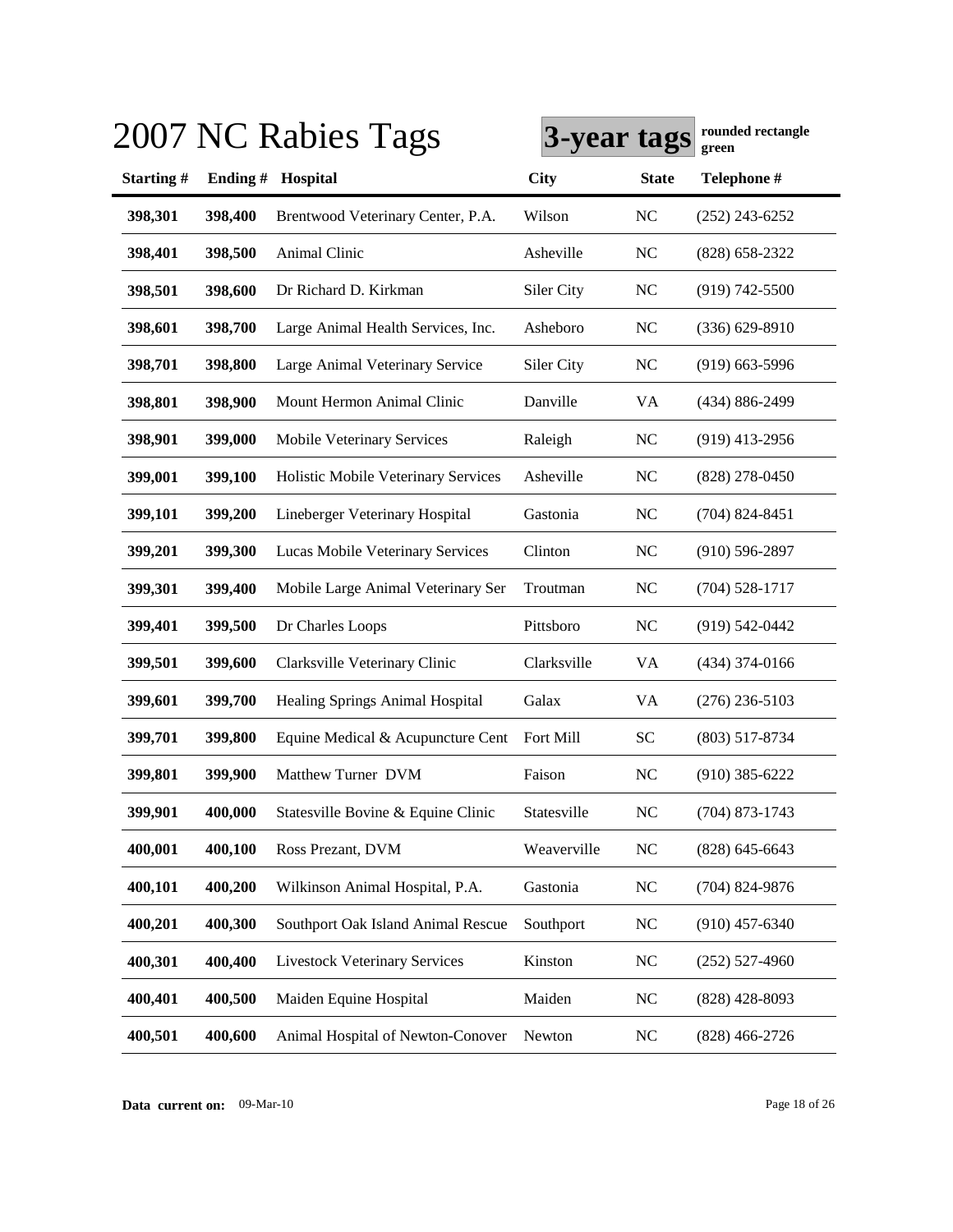| Telephone #<br><b>State</b><br>$(252)$ 243-6252<br>$(828) 658 - 2322$<br>$(919) 742 - 5500$<br>$(336) 629 - 8910$<br>$(919)$ 663-5996<br>(434) 886-2499<br>$(919)$ 413-2956<br>$(828)$ 278-0450<br>$(704)$ 824-8451 |
|---------------------------------------------------------------------------------------------------------------------------------------------------------------------------------------------------------------------|
|                                                                                                                                                                                                                     |
|                                                                                                                                                                                                                     |
|                                                                                                                                                                                                                     |
|                                                                                                                                                                                                                     |
|                                                                                                                                                                                                                     |
|                                                                                                                                                                                                                     |
|                                                                                                                                                                                                                     |
|                                                                                                                                                                                                                     |
|                                                                                                                                                                                                                     |
|                                                                                                                                                                                                                     |
| $(910) 596 - 2897$                                                                                                                                                                                                  |
| $(704)$ 528-1717                                                                                                                                                                                                    |
| $(919) 542 - 0442$                                                                                                                                                                                                  |
| $(434)$ 374-0166                                                                                                                                                                                                    |
| $(276)$ 236-5103                                                                                                                                                                                                    |
| $(803)$ 517-8734                                                                                                                                                                                                    |
| $(910)$ 385-6222                                                                                                                                                                                                    |
| $(704)$ 873-1743                                                                                                                                                                                                    |
| $(828)$ 645-6643                                                                                                                                                                                                    |
| $(704)$ 824-9876                                                                                                                                                                                                    |
| $(910)$ 457-6340                                                                                                                                                                                                    |
| $(252)$ 527-4960                                                                                                                                                                                                    |
| $(828)$ 428-8093                                                                                                                                                                                                    |
| $(828)$ 466-2726                                                                                                                                                                                                    |
|                                                                                                                                                                                                                     |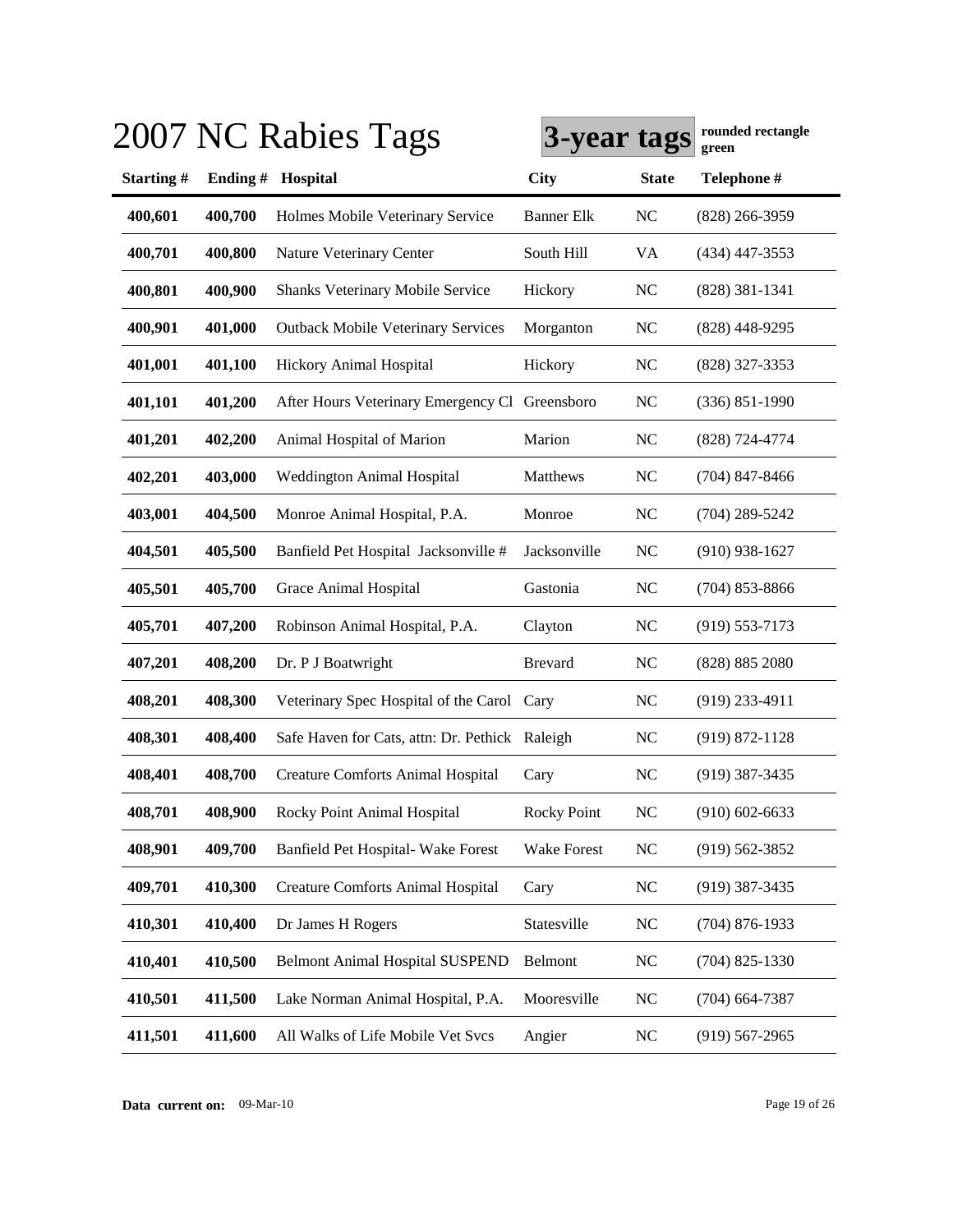|           |         | 2007 NC Rabies Tags                            | 3-year tags        |                | rounded rectangle<br>green |
|-----------|---------|------------------------------------------------|--------------------|----------------|----------------------------|
| Starting# | Ending# | Hospital                                       | <b>City</b>        | <b>State</b>   | Telephone #                |
| 400,601   | 400,700 | Holmes Mobile Veterinary Service               | <b>Banner Elk</b>  | <b>NC</b>      | $(828)$ 266-3959           |
| 400,701   | 400,800 | Nature Veterinary Center                       | South Hill         | VA             | $(434)$ 447-3553           |
| 400,801   | 400,900 | Shanks Veterinary Mobile Service               | Hickory            | <b>NC</b>      | $(828)$ 381-1341           |
| 400,901   | 401,000 | <b>Outback Mobile Veterinary Services</b>      | Morganton          | <b>NC</b>      | $(828)$ 448-9295           |
| 401,001   | 401,100 | Hickory Animal Hospital                        | Hickory            | <b>NC</b>      | (828) 327-3353             |
| 401,101   | 401,200 | After Hours Veterinary Emergency Cl Greensboro |                    | <b>NC</b>      | $(336) 851 - 1990$         |
| 401,201   | 402,200 | Animal Hospital of Marion                      | Marion             | <b>NC</b>      | (828) 724-4774             |
| 402,201   | 403,000 | Weddington Animal Hospital                     | Matthews           | <b>NC</b>      | $(704)$ 847-8466           |
| 403,001   | 404,500 | Monroe Animal Hospital, P.A.                   | Monroe             | N <sub>C</sub> | $(704)$ 289-5242           |
| 404,501   | 405,500 | Banfield Pet Hospital Jacksonville #           | Jacksonville       | N <sub>C</sub> | $(910)$ 938-1627           |
| 405,501   | 405,700 | Grace Animal Hospital                          | Gastonia           | <b>NC</b>      | $(704)$ 853-8866           |
| 405,701   | 407,200 | Robinson Animal Hospital, P.A.                 | Clayton            | N <sub>C</sub> | $(919) 553 - 7173$         |
| 407,201   | 408,200 | Dr. P J Boatwright                             | <b>Brevard</b>     | N <sub>C</sub> | (828) 885 2080             |
| 408,201   | 408,300 | Veterinary Spec Hospital of the Carol Cary     |                    | <b>NC</b>      | $(919)$ 233-4911           |
| 408,301   | 408,400 | Safe Haven for Cats, attn: Dr. Pethick Raleigh |                    | <b>NC</b>      | $(919) 872 - 1128$         |
| 408,401   | 408,700 | <b>Creature Comforts Animal Hospital</b>       | Cary               | N <sub>C</sub> | $(919)$ 387-3435           |
| 408,701   | 408,900 | Rocky Point Animal Hospital                    | <b>Rocky Point</b> | <b>NC</b>      | $(910)$ 602-6633           |
| 408,901   | 409,700 | Banfield Pet Hospital- Wake Forest             | <b>Wake Forest</b> | <b>NC</b>      | $(919) 562 - 3852$         |
| 409,701   | 410,300 | <b>Creature Comforts Animal Hospital</b>       | Cary               | <b>NC</b>      | $(919)$ 387-3435           |
| 410,301   | 410,400 | Dr James H Rogers                              | Statesville        | <b>NC</b>      | $(704)$ 876-1933           |
| 410,401   | 410,500 | <b>Belmont Animal Hospital SUSPEND</b>         | Belmont            | <b>NC</b>      | $(704)$ 825-1330           |
| 410,501   | 411,500 | Lake Norman Animal Hospital, P.A.              | Mooresville        | <b>NC</b>      | $(704)$ 664-7387           |
| 411,501   | 411,600 | All Walks of Life Mobile Vet Svcs              | Angier             | <b>NC</b>      | $(919) 567 - 2965$         |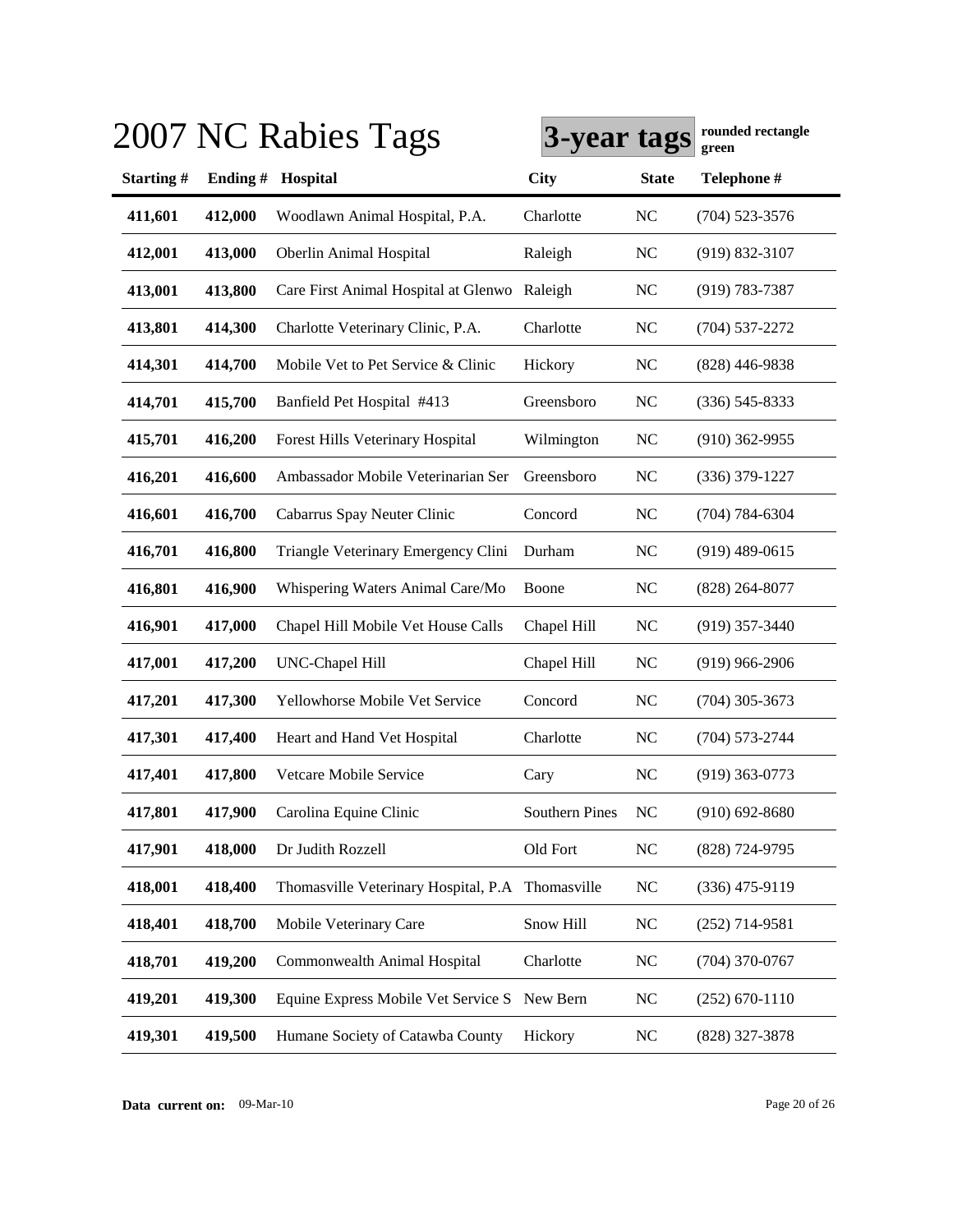|           |         | 2007 NC Rabies Tags                              | 3-year tags           |                | rounded rectangle<br>green |
|-----------|---------|--------------------------------------------------|-----------------------|----------------|----------------------------|
| Starting# | Ending# | Hospital                                         | <b>City</b>           | <b>State</b>   | Telephone #                |
| 411,601   | 412,000 | Woodlawn Animal Hospital, P.A.                   | Charlotte             | N <sub>C</sub> | $(704)$ 523-3576           |
| 412,001   | 413,000 | Oberlin Animal Hospital                          | Raleigh               | <b>NC</b>      | $(919) 832 - 3107$         |
| 413,001   | 413,800 | Care First Animal Hospital at Glenwo             | Raleigh               | <b>NC</b>      | $(919) 783 - 7387$         |
| 413,801   | 414,300 | Charlotte Veterinary Clinic, P.A.                | Charlotte             | N <sub>C</sub> | $(704) 537 - 2272$         |
| 414,301   | 414,700 | Mobile Vet to Pet Service & Clinic               | Hickory               | <b>NC</b>      | $(828)$ 446-9838           |
| 414,701   | 415,700 | Banfield Pet Hospital #413                       | Greensboro            | <b>NC</b>      | $(336)$ 545-8333           |
| 415,701   | 416,200 | Forest Hills Veterinary Hospital                 | Wilmington            | N <sub>C</sub> | $(910)$ 362-9955           |
| 416,201   | 416,600 | Ambassador Mobile Veterinarian Ser               | Greensboro            | <b>NC</b>      | $(336)$ 379-1227           |
| 416,601   | 416,700 | Cabarrus Spay Neuter Clinic                      | Concord               | <b>NC</b>      | $(704) 784 - 6304$         |
| 416,701   | 416,800 | Triangle Veterinary Emergency Clini              | Durham                | <b>NC</b>      | $(919)$ 489-0615           |
| 416,801   | 416,900 | Whispering Waters Animal Care/Mo                 | Boone                 | <b>NC</b>      | $(828)$ 264-8077           |
| 416,901   | 417,000 | Chapel Hill Mobile Vet House Calls               | Chapel Hill           | <b>NC</b>      | $(919)$ 357-3440           |
| 417,001   | 417,200 | <b>UNC-Chapel Hill</b>                           | Chapel Hill           | <b>NC</b>      | $(919)$ 966-2906           |
| 417,201   | 417,300 | Yellowhorse Mobile Vet Service                   | Concord               | <b>NC</b>      | $(704)$ 305-3673           |
| 417,301   | 417,400 | Heart and Hand Vet Hospital                      | Charlotte             | <b>NC</b>      | $(704) 573 - 2744$         |
| 417,401   | 417,800 | Vetcare Mobile Service                           | Cary                  | <b>NC</b>      | $(919)$ 363-0773           |
| 417,801   | 417,900 | Carolina Equine Clinic                           | <b>Southern Pines</b> | N <sub>C</sub> | $(910) 692 - 8680$         |
| 417,901   | 418,000 | Dr Judith Rozzell                                | Old Fort              | NC             | (828) 724-9795             |
| 418,001   | 418,400 | Thomasville Veterinary Hospital, P.A Thomasville |                       | <b>NC</b>      | $(336)$ 475-9119           |
| 418,401   | 418,700 | Mobile Veterinary Care                           | Snow Hill             | $NC$           | $(252)$ 714-9581           |
| 418,701   | 419,200 | Commonwealth Animal Hospital                     | Charlotte             | <b>NC</b>      | $(704)$ 370-0767           |
| 419,201   | 419,300 | Equine Express Mobile Vet Service S              | New Bern              | <b>NC</b>      | $(252)$ 670-1110           |
| 419,301   | 419,500 | Humane Society of Catawba County                 | Hickory               | <b>NC</b>      | (828) 327-3878             |

**Data current on:** 09-Mar-10 Page 20 of 26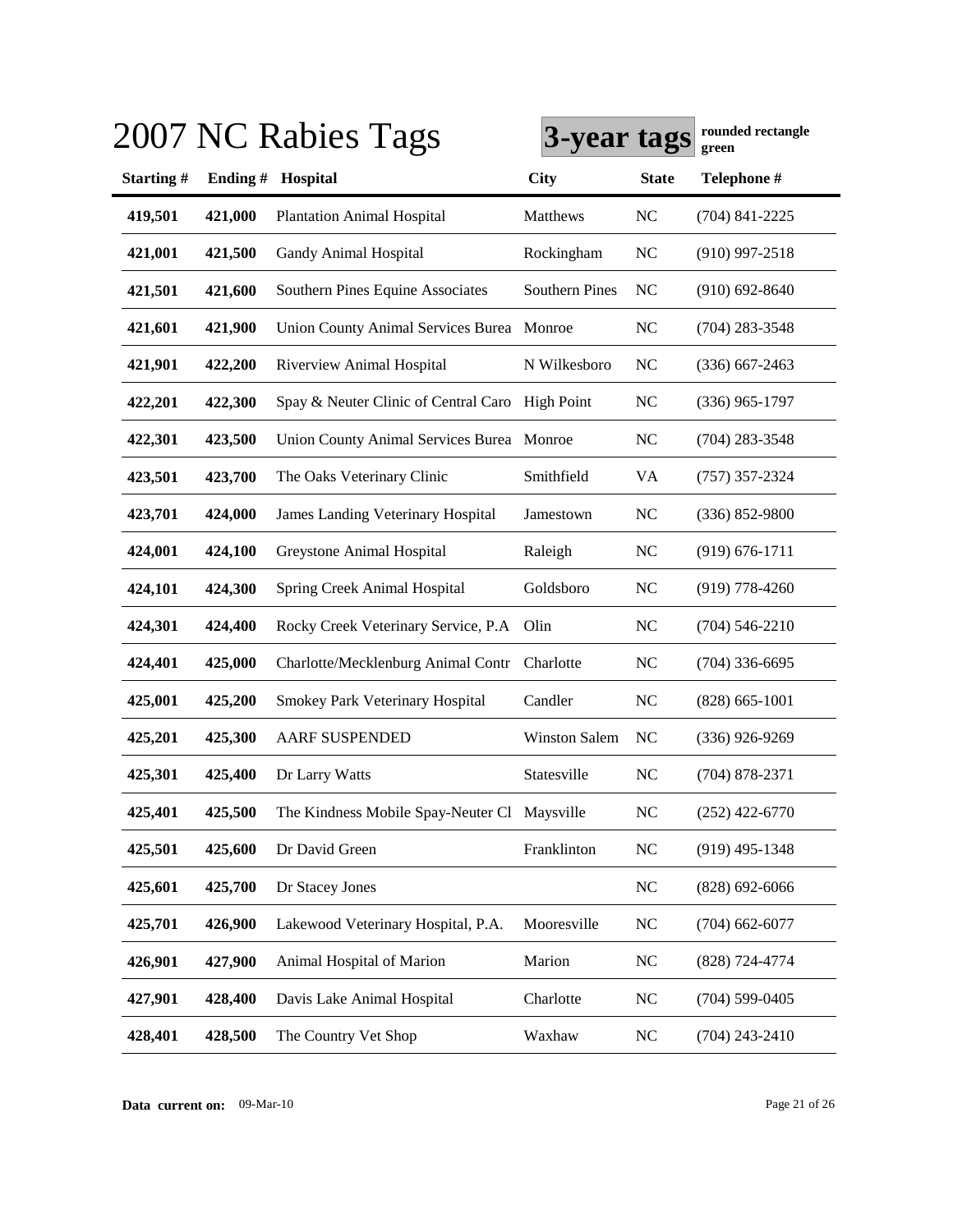|           |         | 2007 NC Rabies Tags                             | 3-year tags           |                | rounded rectangle<br>green |
|-----------|---------|-------------------------------------------------|-----------------------|----------------|----------------------------|
| Starting# | Ending# | Hospital                                        | <b>City</b>           | <b>State</b>   | Telephone #                |
| 419,501   | 421,000 | <b>Plantation Animal Hospital</b>               | Matthews              | <b>NC</b>      | $(704)$ 841-2225           |
| 421,001   | 421,500 | Gandy Animal Hospital                           | Rockingham            | N <sub>C</sub> | $(910)$ 997-2518           |
| 421,501   | 421,600 | Southern Pines Equine Associates                | <b>Southern Pines</b> | N <sub>C</sub> | $(910)$ 692-8640           |
| 421,601   | 421,900 | <b>Union County Animal Services Burea</b>       | Monroe                | <b>NC</b>      | $(704)$ 283-3548           |
| 421,901   | 422,200 | Riverview Animal Hospital                       | N Wilkesboro          | <b>NC</b>      | $(336)$ 667-2463           |
| 422,201   | 422,300 | Spay & Neuter Clinic of Central Caro High Point |                       | <b>NC</b>      | $(336)$ 965-1797           |
| 422,301   | 423,500 | Union County Animal Services Burea Monroe       |                       | <b>NC</b>      | $(704)$ 283-3548           |
| 423,501   | 423,700 | The Oaks Veterinary Clinic                      | Smithfield            | VA             | $(757)$ 357-2324           |
| 423,701   | 424,000 | <b>James Landing Veterinary Hospital</b>        | Jamestown             | <b>NC</b>      | $(336) 852 - 9800$         |
| 424,001   | 424,100 | Greystone Animal Hospital                       | Raleigh               | <b>NC</b>      | $(919) 676 - 1711$         |
| 424,101   | 424,300 | Spring Creek Animal Hospital                    | Goldsboro             | <b>NC</b>      | $(919)$ 778-4260           |
| 424,301   | 424,400 | Rocky Creek Veterinary Service, P.A.            | Olin                  | <b>NC</b>      | $(704) 546 - 2210$         |
| 424,401   | 425,000 | Charlotte/Mecklenburg Animal Contr              | Charlotte             | <b>NC</b>      | $(704)$ 336-6695           |
| 425,001   | 425,200 | Smokey Park Veterinary Hospital                 | Candler               | <b>NC</b>      | $(828) 665 - 1001$         |
| 425,201   | 425,300 | <b>AARF SUSPENDED</b>                           | <b>Winston Salem</b>  | N <sub>C</sub> | $(336)$ 926-9269           |
| 425,301   | 425,400 | Dr Larry Watts                                  | Statesville           | N <sub>C</sub> | $(704)$ 878-2371           |
| 425,401   | 425,500 | The Kindness Mobile Spay-Neuter Cl Maysville    |                       | <b>NC</b>      | $(252)$ 422-6770           |
| 425,501   | 425,600 | Dr David Green                                  | Franklinton           | NC             | $(919)$ 495-1348           |
| 425,601   | 425,700 | Dr Stacey Jones                                 |                       | NC             | $(828)$ 692-6066           |
| 425,701   | 426,900 | Lakewood Veterinary Hospital, P.A.              | Mooresville           | $\rm NC$       | $(704)$ 662-6077           |
| 426,901   | 427,900 | Animal Hospital of Marion                       | Marion                | NC             | (828) 724-4774             |
| 427,901   | 428,400 | Davis Lake Animal Hospital                      | Charlotte             | <b>NC</b>      | $(704)$ 599-0405           |
| 428,401   | 428,500 | The Country Vet Shop                            | Waxhaw                | <b>NC</b>      | $(704)$ 243-2410           |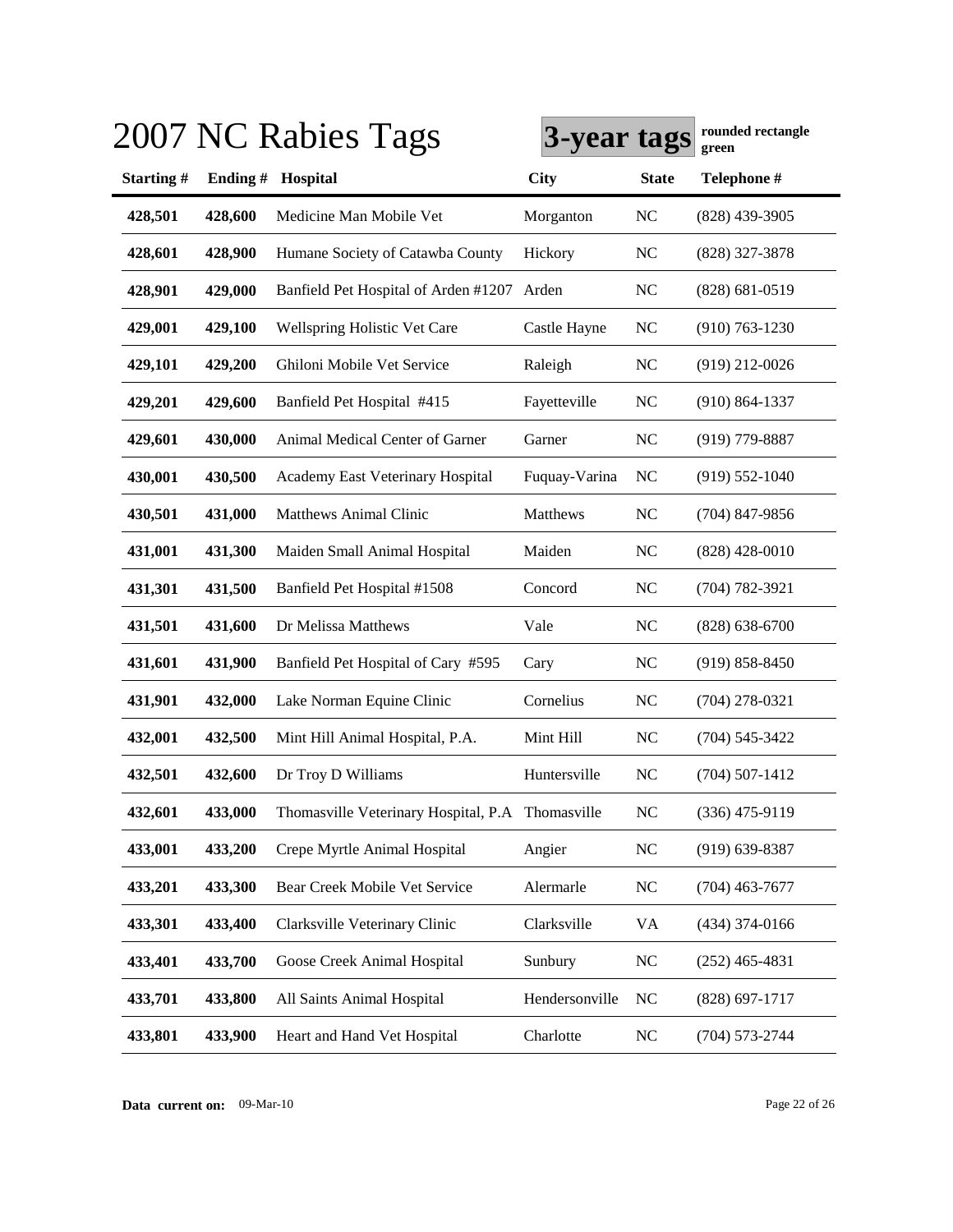|           |         | 2007 NC Rabies Tags                              | 3-year tags    |                | rounded rectangle<br>green |
|-----------|---------|--------------------------------------------------|----------------|----------------|----------------------------|
| Starting# | Ending# | Hospital                                         | <b>City</b>    | <b>State</b>   | Telephone #                |
| 428,501   | 428,600 | Medicine Man Mobile Vet                          | Morganton      | <b>NC</b>      | $(828)$ 439-3905           |
| 428,601   | 428,900 | Humane Society of Catawba County                 | Hickory        | <b>NC</b>      | (828) 327-3878             |
| 428,901   | 429,000 | Banfield Pet Hospital of Arden #1207 Arden       |                | N <sub>C</sub> | $(828) 681 - 0519$         |
| 429,001   | 429,100 | Wellspring Holistic Vet Care                     | Castle Hayne   | N <sub>C</sub> | $(910) 763 - 1230$         |
| 429,101   | 429,200 | Ghiloni Mobile Vet Service                       | Raleigh        | <b>NC</b>      | $(919)$ 212-0026           |
| 429,201   | 429,600 | Banfield Pet Hospital #415                       | Fayetteville   | <b>NC</b>      | $(910) 864 - 1337$         |
| 429,601   | 430,000 | Animal Medical Center of Garner                  | Garner         | <b>NC</b>      | $(919)$ 779-8887           |
| 430,001   | 430,500 | <b>Academy East Veterinary Hospital</b>          | Fuquay-Varina  | <b>NC</b>      | $(919) 552 - 1040$         |
| 430,501   | 431,000 | <b>Matthews Animal Clinic</b>                    | Matthews       | <b>NC</b>      | $(704)$ 847-9856           |
| 431,001   | 431,300 | Maiden Small Animal Hospital                     | Maiden         | <b>NC</b>      | $(828)$ 428-0010           |
| 431,301   | 431,500 | Banfield Pet Hospital #1508                      | Concord        | N <sub>C</sub> | $(704) 782 - 3921$         |
| 431,501   | 431,600 | Dr Melissa Matthews                              | Vale           | <b>NC</b>      | $(828) 638 - 6700$         |
| 431,601   | 431,900 | Banfield Pet Hospital of Cary #595               | Cary           | N <sub>C</sub> | $(919) 858 - 8450$         |
| 431,901   | 432,000 | Lake Norman Equine Clinic                        | Cornelius      | <b>NC</b>      | $(704)$ 278-0321           |
| 432,001   | 432,500 | Mint Hill Animal Hospital, P.A.                  | Mint Hill      | <b>NC</b>      | $(704) 545 - 3422$         |
| 432,501   | 432,600 | Dr Troy D Williams                               | Huntersville   | <b>NC</b>      | $(704)$ 507-1412           |
| 432,601   | 433,000 | Thomasville Veterinary Hospital, P.A Thomasville |                | <b>NC</b>      | $(336)$ 475-9119           |
| 433,001   | 433,200 | Crepe Myrtle Animal Hospital                     | Angier         | <b>NC</b>      | $(919)$ 639-8387           |
| 433,201   | 433,300 | Bear Creek Mobile Vet Service                    | Alermarle      | NC             | $(704)$ 463-7677           |
| 433,301   | 433,400 | Clarksville Veterinary Clinic                    | Clarksville    | VA             | $(434)$ 374-0166           |
| 433,401   | 433,700 | Goose Creek Animal Hospital                      | Sunbury        | <b>NC</b>      | $(252)$ 465-4831           |
| 433,701   | 433,800 | All Saints Animal Hospital                       | Hendersonville | NC             | $(828) 697 - 1717$         |
| 433,801   | 433,900 | Heart and Hand Vet Hospital                      | Charlotte      | NC             | $(704) 573 - 2744$         |

**Data current on:** 09-Mar-10 Page 22 of 26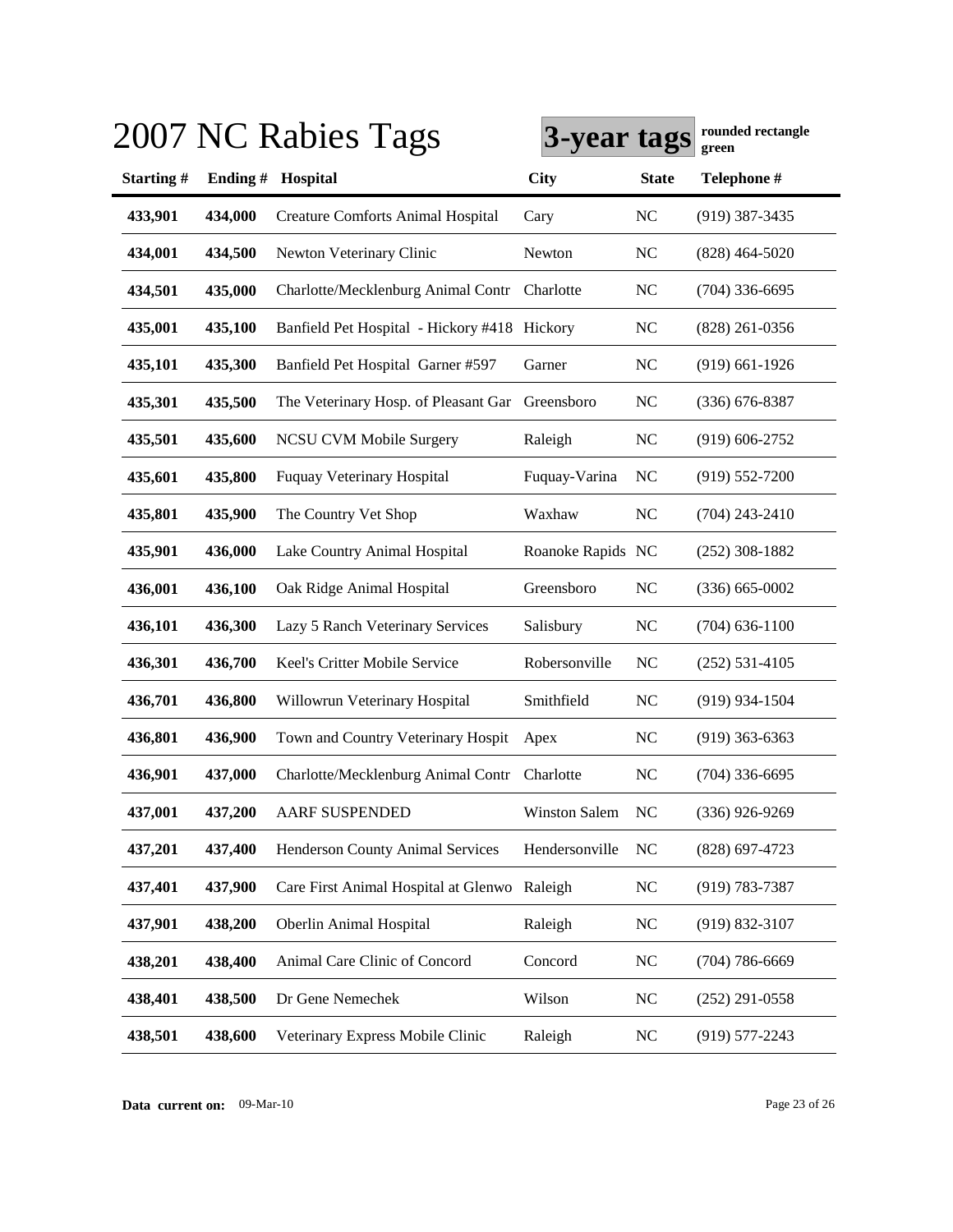|           |         | 2007 NC Rabies Tags                          | 3-year tags          |                | rounded rectangle<br>green |
|-----------|---------|----------------------------------------------|----------------------|----------------|----------------------------|
| Starting# | Ending# | Hospital                                     | <b>City</b>          | <b>State</b>   | Telephone #                |
| 433,901   | 434,000 | <b>Creature Comforts Animal Hospital</b>     | Cary                 | N <sub>C</sub> | $(919)$ 387-3435           |
| 434,001   | 434,500 | Newton Veterinary Clinic                     | Newton               | NC             | $(828)$ 464-5020           |
| 434,501   | 435,000 | Charlotte/Mecklenburg Animal Contr           | Charlotte            | N <sub>C</sub> | $(704)$ 336-6695           |
| 435,001   | 435,100 | Banfield Pet Hospital - Hickory #418 Hickory |                      | NC             | $(828)$ 261-0356           |
| 435,101   | 435,300 | Banfield Pet Hospital Garner #597            | Garner               | N <sub>C</sub> | $(919)$ 661-1926           |
| 435,301   | 435,500 | The Veterinary Hosp. of Pleasant Gar         | Greensboro           | N <sub>C</sub> | $(336)$ 676-8387           |
| 435,501   | 435,600 | <b>NCSU CVM Mobile Surgery</b>               | Raleigh              | N <sub>C</sub> | $(919) 606 - 2752$         |
| 435,601   | 435,800 | <b>Fuquay Veterinary Hospital</b>            | Fuquay-Varina        | N <sub>C</sub> | $(919) 552 - 7200$         |
| 435,801   | 435,900 | The Country Vet Shop                         | Waxhaw               | N <sub>C</sub> | $(704)$ 243-2410           |
| 435,901   | 436,000 | Lake Country Animal Hospital                 | Roanoke Rapids NC    |                | $(252)$ 308-1882           |
| 436,001   | 436,100 | Oak Ridge Animal Hospital                    | Greensboro           | <b>NC</b>      | $(336) 665 - 0002$         |
| 436,101   | 436,300 | Lazy 5 Ranch Veterinary Services             | Salisbury            | N <sub>C</sub> | $(704)$ 636-1100           |
| 436,301   | 436,700 | Keel's Critter Mobile Service                | Robersonville        | NC             | $(252) 531 - 4105$         |
| 436,701   | 436,800 | Willowrun Veterinary Hospital                | Smithfield           | <b>NC</b>      | $(919)$ 934-1504           |
| 436,801   | 436,900 | Town and Country Veterinary Hospit           | Apex                 | <b>NC</b>      | $(919)$ 363-6363           |
| 436,901   | 437,000 | Charlotte/Mecklenburg Animal Contr           | Charlotte            | <b>NC</b>      | $(704)$ 336-6695           |
| 437,001   | 437,200 | <b>AARF SUSPENDED</b>                        | <b>Winston Salem</b> | NC             | $(336)$ 926-9269           |
| 437,201   | 437,400 | Henderson County Animal Services             | Hendersonville       | <b>NC</b>      | $(828)$ 697-4723           |
| 437,401   | 437,900 | Care First Animal Hospital at Glenwo         | Raleigh              | NC             | $(919) 783 - 7387$         |
| 437,901   | 438,200 | Oberlin Animal Hospital                      | Raleigh              | <b>NC</b>      | $(919) 832 - 3107$         |
| 438,201   | 438,400 | Animal Care Clinic of Concord                | Concord              | <b>NC</b>      | $(704)$ 786-6669           |
| 438,401   | 438,500 | Dr Gene Nemechek                             | Wilson               | <b>NC</b>      | $(252)$ 291-0558           |
| 438,501   | 438,600 | Veterinary Express Mobile Clinic             | Raleigh              | <b>NC</b>      | $(919)$ 577-2243           |
|           |         |                                              |                      |                |                            |

**Data current on:** 09-Mar-10 Page 23 of 26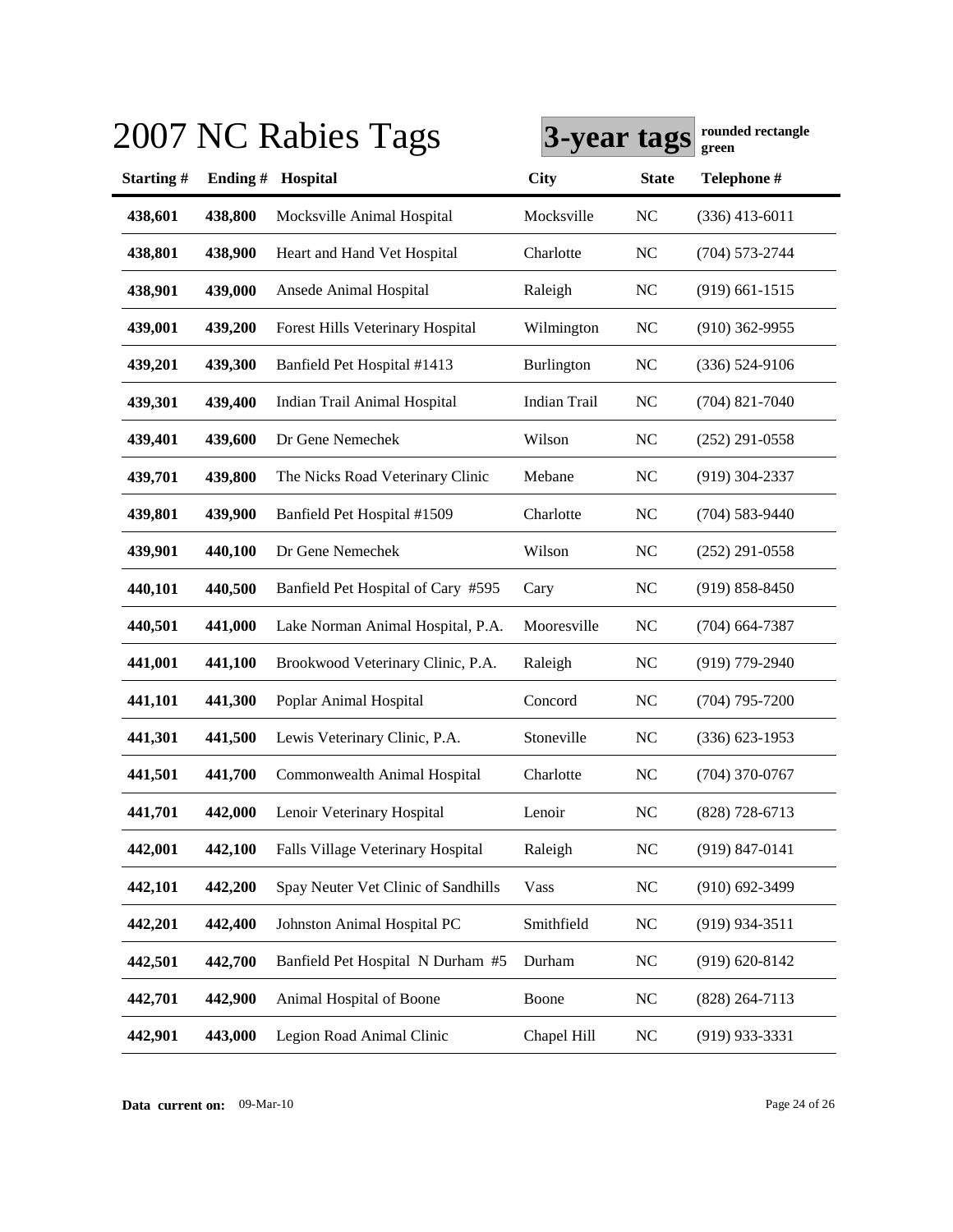|           |         | 2007 NC Rabies Tags                 | 3-year tags         |                | rounded rectangle<br>green |
|-----------|---------|-------------------------------------|---------------------|----------------|----------------------------|
| Starting# | Ending# | Hospital                            | <b>City</b>         | <b>State</b>   | Telephone #                |
| 438,601   | 438,800 | Mocksville Animal Hospital          | Mocksville          | N <sub>C</sub> | $(336)$ 413-6011           |
| 438,801   | 438,900 | Heart and Hand Vet Hospital         | Charlotte           | <b>NC</b>      | $(704) 573 - 2744$         |
| 438,901   | 439,000 | Ansede Animal Hospital              | Raleigh             | <b>NC</b>      | $(919)$ 661-1515           |
| 439,001   | 439,200 | Forest Hills Veterinary Hospital    | Wilmington          | <b>NC</b>      | $(910)$ 362-9955           |
| 439,201   | 439,300 | Banfield Pet Hospital #1413         | Burlington          | <b>NC</b>      | $(336) 524-9106$           |
| 439,301   | 439,400 | Indian Trail Animal Hospital        | <b>Indian Trail</b> | <b>NC</b>      | $(704)$ 821-7040           |
| 439,401   | 439,600 | Dr Gene Nemechek                    | Wilson              | <b>NC</b>      | $(252)$ 291-0558           |
| 439,701   | 439,800 | The Nicks Road Veterinary Clinic    | Mebane              | <b>NC</b>      | $(919)$ 304-2337           |
| 439,801   | 439,900 | Banfield Pet Hospital #1509         | Charlotte           | <b>NC</b>      | $(704) 583 - 9440$         |
| 439,901   | 440,100 | Dr Gene Nemechek                    | Wilson              | <b>NC</b>      | $(252)$ 291-0558           |
| 440,101   | 440,500 | Banfield Pet Hospital of Cary #595  | Cary                | <b>NC</b>      | $(919) 858 - 8450$         |
| 440,501   | 441,000 | Lake Norman Animal Hospital, P.A.   | Mooresville         | <b>NC</b>      | $(704)$ 664-7387           |
| 441,001   | 441,100 | Brookwood Veterinary Clinic, P.A.   | Raleigh             | <b>NC</b>      | $(919)$ 779-2940           |
| 441,101   | 441,300 | Poplar Animal Hospital              | Concord             | <b>NC</b>      | $(704)$ 795-7200           |
| 441,301   | 441,500 | Lewis Veterinary Clinic, P.A.       | Stoneville          | <b>NC</b>      | $(336)$ 623-1953           |
| 441,501   | 441,700 | Commonwealth Animal Hospital        | Charlotte           | <b>NC</b>      | $(704)$ 370-0767           |
| 441,701   | 442,000 | Lenoir Veterinary Hospital          | Lenoir              | <b>NC</b>      | $(828)$ 728-6713           |
| 442,001   | 442,100 | Falls Village Veterinary Hospital   | Raleigh             | <b>NC</b>      | $(919) 847 - 0141$         |
| 442,101   | 442,200 | Spay Neuter Vet Clinic of Sandhills | Vass                | <b>NC</b>      | $(910)$ 692-3499           |
| 442,201   | 442,400 | Johnston Animal Hospital PC         | Smithfield          | NC             | $(919)$ 934-3511           |
| 442,501   | 442,700 | Banfield Pet Hospital N Durham #5   | Durham              | <b>NC</b>      | $(919) 620 - 8142$         |
| 442,701   | 442,900 | Animal Hospital of Boone            | Boone               | <b>NC</b>      | $(828)$ 264-7113           |
| 442,901   | 443,000 | Legion Road Animal Clinic           | Chapel Hill         | $\rm NC$       | $(919)$ 933-3331           |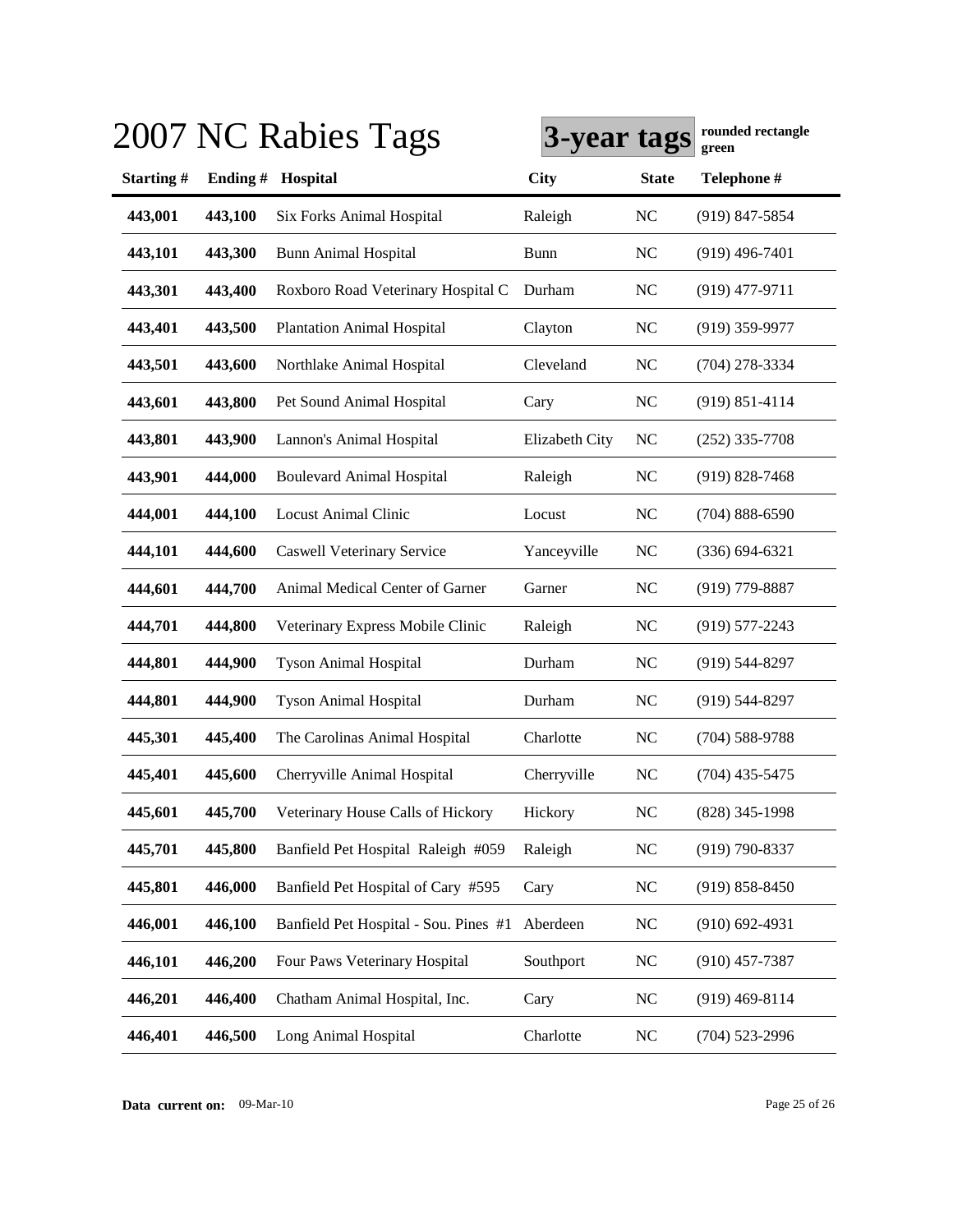|           |         | 2007 NC Rabies Tags                   | 3-year tags    |                | rounded rectangle<br>green |
|-----------|---------|---------------------------------------|----------------|----------------|----------------------------|
| Starting# | Ending# | Hospital                              | <b>City</b>    | <b>State</b>   | Telephone #                |
| 443,001   | 443,100 | <b>Six Forks Animal Hospital</b>      | Raleigh        | N <sub>C</sub> | $(919)$ 847-5854           |
| 443,101   | 443,300 | <b>Bunn Animal Hospital</b>           | <b>Bunn</b>    | N <sub>C</sub> | $(919)$ 496-7401           |
| 443,301   | 443,400 | Roxboro Road Veterinary Hospital C    | Durham         | N <sub>C</sub> | $(919)$ 477-9711           |
| 443,401   | 443,500 | <b>Plantation Animal Hospital</b>     | Clayton        | N <sub>C</sub> | $(919)$ 359-9977           |
| 443,501   | 443,600 | Northlake Animal Hospital             | Cleveland      | N <sub>C</sub> | $(704)$ 278-3334           |
| 443,601   | 443,800 | Pet Sound Animal Hospital             | Cary           | N <sub>C</sub> | $(919) 851 - 4114$         |
| 443,801   | 443,900 | Lannon's Animal Hospital              | Elizabeth City | <b>NC</b>      | $(252)$ 335-7708           |
| 443,901   | 444,000 | <b>Boulevard Animal Hospital</b>      | Raleigh        | <b>NC</b>      | $(919) 828 - 7468$         |
| 444,001   | 444,100 | <b>Locust Animal Clinic</b>           | Locust         | N <sub>C</sub> | $(704) 888 - 6590$         |
| 444,101   | 444,600 | <b>Caswell Veterinary Service</b>     | Yanceyville    | <b>NC</b>      | $(336) 694 - 6321$         |
| 444,601   | 444,700 | Animal Medical Center of Garner       | Garner         | NC             | $(919)$ 779-8887           |
| 444,701   | 444,800 | Veterinary Express Mobile Clinic      | Raleigh        | <b>NC</b>      | $(919) 577 - 2243$         |
| 444,801   | 444,900 | <b>Tyson Animal Hospital</b>          | Durham         | N <sub>C</sub> | $(919) 544 - 8297$         |
| 444,801   | 444,900 | <b>Tyson Animal Hospital</b>          | Durham         | N <sub>C</sub> | $(919) 544 - 8297$         |
| 445,301   | 445,400 | The Carolinas Animal Hospital         | Charlotte      | <b>NC</b>      | $(704) 588 - 9788$         |
| 445,401   | 445,600 | Cherryville Animal Hospital           | Cherryville    | NC             | $(704)$ 435-5475           |
| 445,601   | 445,700 | Veterinary House Calls of Hickory     | Hickory        | <b>NC</b>      | (828) 345-1998             |
| 445,701   | 445,800 | Banfield Pet Hospital Raleigh #059    | Raleigh        | NC             | $(919) 790 - 8337$         |
| 445,801   | 446,000 | Banfield Pet Hospital of Cary #595    | Cary           | <b>NC</b>      | $(919) 858 - 8450$         |
| 446,001   | 446,100 | Banfield Pet Hospital - Sou. Pines #1 | Aberdeen       | <b>NC</b>      | $(910)$ 692-4931           |
| 446,101   | 446,200 | Four Paws Veterinary Hospital         | Southport      | <b>NC</b>      | $(910)$ 457-7387           |
| 446,201   | 446,400 | Chatham Animal Hospital, Inc.         | Cary           | <b>NC</b>      | $(919)$ 469-8114           |
| 446,401   | 446,500 | Long Animal Hospital                  | Charlotte      | $NC$           | $(704)$ 523-2996           |